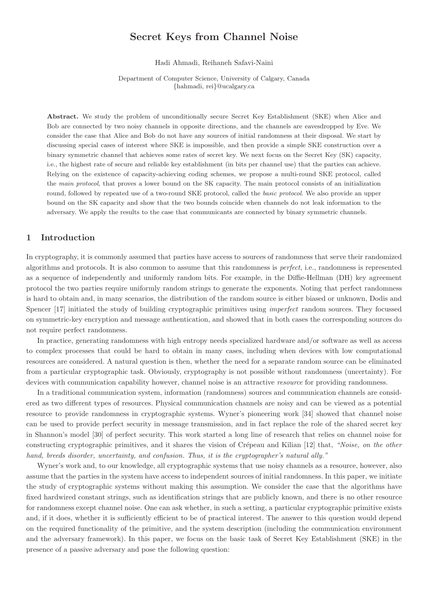# Secret Keys from Channel Noise

Hadi Ahmadi, Reihaneh Safavi-Naini

Department of Computer Science, University of Calgary, Canada {hahmadi, rei}@ucalgary.ca

Abstract. We study the problem of unconditionally secure Secret Key Establishment (SKE) when Alice and Bob are connected by two noisy channels in opposite directions, and the channels are eavesdropped by Eve. We consider the case that Alice and Bob do not have any sources of initial randomness at their disposal. We start by discussing special cases of interest where SKE is impossible, and then provide a simple SKE construction over a binary symmetric channel that achieves some rates of secret key. We next focus on the Secret Key (SK) capacity, i.e., the highest rate of secure and reliable key establishment (in bits per channel use) that the parties can achieve. Relying on the existence of capacity-achieving coding schemes, we propose a multi-round SKE protocol, called the main protocol, that proves a lower bound on the SK capacity. The main protocol consists of an initialization round, followed by repeated use of a two-round SKE protocol, called the basic protocol. We also provide an upper bound on the SK capacity and show that the two bounds coincide when channels do not leak information to the adversary. We apply the results to the case that communicants are connected by binary symmetric channels.

# 1 Introduction

In cryptography, it is commonly assumed that parties have access to sources of randomness that serve their randomized algorithms and protocols. It is also common to assume that this randomness is *perfect*, i.e., randomness is represented as a sequence of independently and uniformly random bits. For example, in the Diffie-Hellman (DH) key agreement protocol the two parties require uniformly random strings to generate the exponents. Noting that perfect randomness is hard to obtain and, in many scenarios, the distribution of the random source is either biased or unknown, Dodis and Spencer [17] initiated the study of building cryptographic primitives using *imperfect* random sources. They focussed on symmetric-key encryption and message authentication, and showed that in both cases the corresponding sources do not require perfect randomness.

In practice, generating randomness with high entropy needs specialized hardware and/or software as well as access to complex processes that could be hard to obtain in many cases, including when devices with low computational resources are considered. A natural question is then, whether the need for a separate random source can be eliminated from a particular cryptographic task. Obviously, cryptography is not possible without randomness (uncertainty). For devices with communication capability however, channel noise is an attractive *resource* for providing randomness.

In a traditional communication system, information (randomness) sources and communication channels are considered as two different types of resources. Physical communication channels are noisy and can be viewed as a potential resource to provide randomness in cryptographic systems. Wyner's pioneering work [34] showed that channel noise can be used to provide perfect security in message transmission, and in fact replace the role of the shared secret key in Shannon's model [30] of perfect security. This work started a long line of research that relies on channel noise for constructing cryptographic primitives, and it shares the vision of Crépeau and Kilian [12] that, *"Noise, on the other hand, breeds disorder, uncertainty, and confusion. Thus, it is the cryptographer's natural ally."*

Wyner's work and, to our knowledge, all cryptographic systems that use noisy channels as a resource, however, also assume that the parties in the system have access to independent sources of initial randomness. In this paper, we initiate the study of cryptographic systems without making this assumption. We consider the case that the algorithms have fixed hardwired constant strings, such as identification strings that are publicly known, and there is no other resource for randomness except channel noise. One can ask whether, in such a setting, a particular cryptographic primitive exists and, if it does, whether it is sufficiently efficient to be of practical interest. The answer to this question would depend on the required functionality of the primitive, and the system description (including the communication environment and the adversary framework). In this paper, we focus on the basic task of Secret Key Establishment (SKE) in the presence of a passive adversary and pose the following question: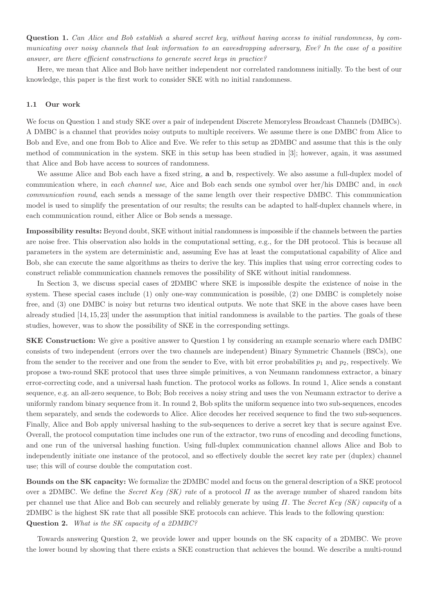Question 1. *Can Alice and Bob establish a shared secret key, without having access to initial randomness, by communicating over noisy channels that leak information to an eavesdropping adversary, Eve? In the case of a positive answer, are there efficient constructions to generate secret keys in practice?*

Here, we mean that Alice and Bob have neither independent nor correlated randomness initially. To the best of our knowledge, this paper is the first work to consider SKE with no initial randomness.

### 1.1 Our work

We focus on Question 1 and study SKE over a pair of independent Discrete Memoryless Broadcast Channels (DMBCs). A DMBC is a channel that provides noisy outputs to multiple receivers. We assume there is one DMBC from Alice to Bob and Eve, and one from Bob to Alice and Eve. We refer to this setup as 2DMBC and assume that this is the only method of communication in the system. SKE in this setup has been studied in [3]; however, again, it was assumed that Alice and Bob have access to sources of randomness.

We assume Alice and Bob each have a fixed string, **a** and **b**, respectively. We also assume a full-duplex model of communication where, in *each channel use*, Aice and Bob each sends one symbol over her/his DMBC and, in *each communication round*, each sends a message of the same length over their respective DMBC. This communication model is used to simplify the presentation of our results; the results can be adapted to half-duplex channels where, in each communication round, either Alice or Bob sends a message.

Impossibility results: Beyond doubt, SKE without initial randomness is impossible if the channels between the parties are noise free. This observation also holds in the computational setting, e.g., for the DH protocol. This is because all parameters in the system are deterministic and, assuming Eve has at least the computational capability of Alice and Bob, she can execute the same algorithms as theirs to derive the key. This implies that using error correcting codes to construct reliable communication channels removes the possibility of SKE without initial randomness.

In Section 3, we discuss special cases of 2DMBC where SKE is impossible despite the existence of noise in the system. These special cases include (1) only one-way communication is possible, (2) one DMBC is completely noise free, and (3) one DMBC is noisy but returns two identical outputs. We note that SKE in the above cases have been already studied [14, 15, 23] under the assumption that initial randomness is available to the parties. The goals of these studies, however, was to show the possibility of SKE in the corresponding settings.

SKE Construction: We give a positive answer to Question 1 by considering an example scenario where each DMBC consists of two independent (errors over the two channels are independent) Binary Symmetric Channels (BSCs), one from the sender to the receiver and one from the sender to Eve, with bit error probabilities  $p_1$  and  $p_2$ , respectively. We propose a two-round SKE protocol that uses three simple primitives, a von Neumann randomness extractor, a binary error-correcting code, and a universal hash function. The protocol works as follows. In round 1, Alice sends a constant sequence, e.g. an all-zero sequence, to Bob; Bob receives a noisy string and uses the von Neumann extractor to derive a uniformly random binary sequence from it. In round 2, Bob splits the uniform sequence into two sub-sequences, encodes them separately, and sends the codewords to Alice. Alice decodes her received sequence to find the two sub-sequences. Finally, Alice and Bob apply universal hashing to the sub-sequences to derive a secret key that is secure against Eve. Overall, the protocol computation time includes one run of the extractor, two runs of encoding and decoding functions, and one run of the universal hashing function. Using full-duplex communication channel allows Alice and Bob to independently initiate one instance of the protocol, and so effectively double the secret key rate per (duplex) channel use; this will of course double the computation cost.

Bounds on the SK capacity: We formalize the 2DMBC model and focus on the general description of a SKE protocol over a 2DMBC. We define the *Secret Key (SK) rate* of a protocol Π as the average number of shared random bits per channel use that Alice and Bob can securely and reliably generate by using Π. The *Secret Key (SK) capacity* of a 2DMBC is the highest SK rate that all possible SKE protocols can achieve. This leads to the following question: Question 2. *What is the SK capacity of a 2DMBC?*

Towards answering Question 2, we provide lower and upper bounds on the SK capacity of a 2DMBC. We prove the lower bound by showing that there exists a SKE construction that achieves the bound. We describe a multi-round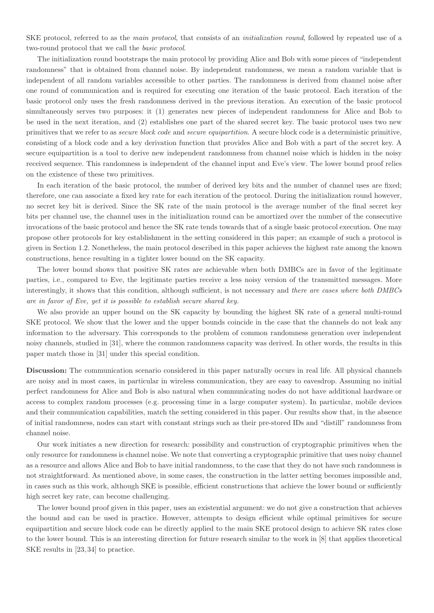SKE protocol, referred to as the *main protocol*, that consists of an *initialization round*, followed by repeated use of a two-round protocol that we call the *basic protocol*.

The initialization round bootstraps the main protocol by providing Alice and Bob with some pieces of "independent randomness" that is obtained from channel noise. By independent randomness, we mean a random variable that is independent of all random variables accessible to other parties. The randomness is derived from channel noise after one round of communication and is required for executing one iteration of the basic protocol. Each iteration of the basic protocol only uses the fresh randomness derived in the previous iteration. An execution of the basic protocol simultaneously serves two purposes: it (1) generates new pieces of independent randomness for Alice and Bob to be used in the next iteration, and (2) establishes one part of the shared secret key. The basic protocol uses two new primitives that we refer to as *secure block code* and *secure equipartition*. A secure block code is a deterministic primitive, consisting of a block code and a key derivation function that provides Alice and Bob with a part of the secret key. A secure equipartition is a tool to derive new independent randomness from channel noise which is hidden in the noisy received sequence. This randomness is independent of the channel input and Eve's view. The lower bound proof relies on the existence of these two primitives.

In each iteration of the basic protocol, the number of derived key bits and the number of channel uses are fixed; therefore, one can associate a fixed key rate for each iteration of the protocol. During the initialization round however, no secret key bit is derived. Since the SK rate of the main protocol is the average number of the final secret key bits per channel use, the channel uses in the initialization round can be amortized over the number of the consecutive invocations of the basic protocol and hence the SK rate tends towards that of a single basic protocol execution. One may propose other protocols for key establishment in the setting considered in this paper; an example of such a protocol is given in Section 1.2. Nonetheless, the main protocol described in this paper achieves the highest rate among the known constructions, hence resulting in a tighter lower bound on the SK capacity.

The lower bound shows that positive SK rates are achievable when both DMBCs are in favor of the legitimate parties, i.e., compared to Eve, the legitimate parties receive a less noisy version of the transmitted messages. More interestingly, it shows that this condition, although sufficient, is not necessary and *there are cases where both DMBCs are in favor of Eve, yet it is possible to establish secure shared key.*

We also provide an upper bound on the SK capacity by bounding the highest SK rate of a general multi-round SKE protocol. We show that the lower and the upper bounds coincide in the case that the channels do not leak any information to the adversary. This corresponds to the problem of common randomness generation over independent noisy channels, studied in [31], where the common randomness capacity was derived. In other words, the results in this paper match those in [31] under this special condition.

Discussion: The communication scenario considered in this paper naturally occurs in real life. All physical channels are noisy and in most cases, in particular in wireless communication, they are easy to eavesdrop. Assuming no initial perfect randomness for Alice and Bob is also natural when communicating nodes do not have additional hardware or access to complex random processes (e.g. processing time in a large computer system). In particular, mobile devices and their communication capabilities, match the setting considered in this paper. Our results show that, in the absence of initial randomness, nodes can start with constant strings such as their pre-stored IDs and "distill" randomness from channel noise.

Our work initiates a new direction for research: possibility and construction of cryptographic primitives when the only resource for randomness is channel noise. We note that converting a cryptographic primitive that uses noisy channel as a resource and allows Alice and Bob to have initial randomness, to the case that they do not have such randomness is not straightforward. As mentioned above, in some cases, the construction in the latter setting becomes impossible and, in cases such as this work, although SKE is possible, efficient constructions that achieve the lower bound or sufficiently high secret key rate, can become challenging.

The lower bound proof given in this paper, uses an existential argument: we do not give a construction that achieves the bound and can be used in practice. However, attempts to design efficient while optimal primitives for secure equipartition and secure block code can be directly applied to the main SKE protocol design to achieve SK rates close to the lower bound. This is an interesting direction for future research similar to the work in [8] that applies theoretical SKE results in [23, 34] to practice.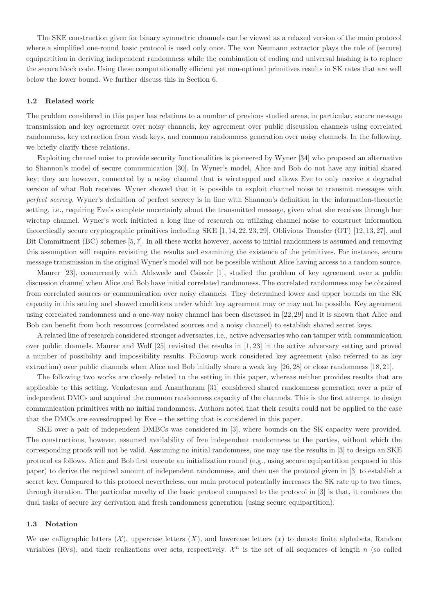The SKE construction given for binary symmetric channels can be viewed as a relaxed version of the main protocol where a simplified one-round basic protocol is used only once. The von Neumann extractor plays the role of (secure) equipartition in deriving independent randomness while the combination of coding and universal hashing is to replace the secure block code. Using these computationally efficient yet non-optimal primitives results in SK rates that are well below the lower bound. We further discuss this in Section 6.

### 1.2 Related work

The problem considered in this paper has relations to a number of previous studied areas, in particular, secure message transmission and key agreement over noisy channels, key agreement over public discussion channels using correlated randomness, key extraction from weak keys, and common randomness generation over noisy channels. In the following, we briefly clarify these relations.

Exploiting channel noise to provide security functionalities is pioneered by Wyner [34] who proposed an alternative to Shannon's model of secure communication [30]. In Wyner's model, Alice and Bob do not have any initial shared key; they are however, connected by a noisy channel that is wiretapped and allows Eve to only receive a degraded version of what Bob receives. Wyner showed that it is possible to exploit channel noise to transmit messages with *perfect secrecy*. Wyner's definition of perfect secrecy is in line with Shannon's definition in the information-theoretic setting, i.e., requiring Eve's complete uncertainly about the transmitted message, given what she receives through her wiretap channel. Wyner's work initiated a long line of research on utilizing channel noise to construct information theoretically secure cryptographic primitives including SKE [1, 14, 22, 23, 29], Oblivious Transfer (OT) [12, 13, 27], and Bit Commitment (BC) schemes [5,7]. In all these works however, access to initial randomness is assumed and removing this assumption will require revisiting the results and examining the existence of the primitives. For instance, secure message transmission in the original Wyner's model will not be possible without Alice having access to a random source.

Maurer [23], concurrently with Ahlswede and Csiszár [1], studied the problem of key agreement over a public discussion channel when Alice and Bob have initial correlated randomness. The correlated randomness may be obtained from correlated sources or communication over noisy channels. They determined lower and upper bounds on the SK capacity in this setting and showed conditions under which key agreement may or may not be possible. Key agreement using correlated randomness and a one-way noisy channel has been discussed in [22, 29] and it is shown that Alice and Bob can benefit from both resources (correlated sources and a noisy channel) to establish shared secret keys.

A related line of research considered stronger adversaries, i.e., active adversaries who can tamper with communication over public channels. Maurer and Wolf [25] revisited the results in [1, 23] in the active adversary setting and proved a number of possibility and impossibility results. Followup work considered key agreement (also referred to as key extraction) over public channels when Alice and Bob initially share a weak key [26, 28] or close randomness [18, 21].

The following two works are closely related to the setting in this paper, whereas neither provides results that are applicable to this setting. Venkatesan and Anantharam [31] considered shared randomness generation over a pair of independent DMCs and acquired the common randomness capacity of the channels. This is the first attempt to design communication primitives with no initial randomness. Authors noted that their results could not be applied to the case that the DMCs are eavesdropped by Eve – the setting that is considered in this paper.

SKE over a pair of independent DMBCs was considered in [3], where bounds on the SK capacity were provided. The constructions, however, assumed availability of free independent randomness to the parties, without which the corresponding proofs will not be valid. Assuming no initial randomness, one may use the results in [3] to design an SKE protocol as follows. Alice and Bob first execute an initialization round (e.g., using secure equipartition proposed in this paper) to derive the required amount of independent randomness, and then use the protocol given in [3] to establish a secret key. Compared to this protocol nevertheless, our main protocol potentially increases the SK rate up to two times, through iteration. The particular novelty of the basic protocol compared to the protocol in [3] is that, it combines the dual tasks of secure key derivation and fresh randomness generation (using secure equipartition).

#### 1.3 Notation

We use calligraphic letters  $(X)$ , uppercase letters  $(X)$ , and lowercase letters  $(x)$  to denote finite alphabets, Random variables (RVs), and their realizations over sets, respectively.  $\mathcal{X}^n$  is the set of all sequences of length n (so called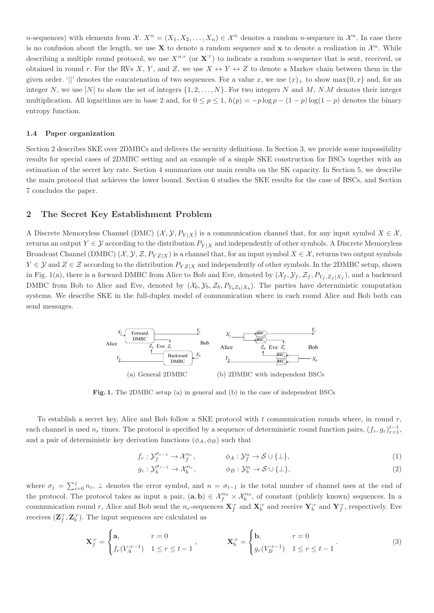n-sequences) with elements from  $\mathcal{X}$ .  $X^n = (X_1, X_2, \ldots, X_n) \in \mathcal{X}^n$  denotes a random n-sequence in  $\mathcal{X}^n$ . In case there is no confusion about the length, we use **X** to denote a random sequence and **x** to denote a realization in  $\mathcal{X}^n$ . While describing a multiple round protocol, we use  $X^{n:r}$  (or  $X^{r}$ ) to indicate a random *n*-sequence that is sent, received, or obtained in round r. For the RVs X, Y, and Z, we use  $X \leftrightarrow Y \leftrightarrow Z$  to denote a Markov chain between them in the given order. '||' denotes the concatenation of two sequences. For a value x, we use  $(x)_+$  to show max $\{0, x\}$  and, for an integer N, we use [N] to show the set of integers  $\{1, 2, ..., N\}$ . For two integers N and M, N.M denotes their integer multiplication. All logarithms are in base 2 and, for  $0 \le p \le 1$ ,  $h(p) = -p \log p - (1 - p) \log(1 - p)$  denotes the binary entropy function.

### 1.4 Paper organization

Section 2 describes SKE over 2DMBCs and delivers the security definitions. In Section 3, we provide some impossibility results for special cases of 2DMBC setting and an example of a simple SKE construction for BSCs together with an estimation of the secret key rate. Section 4 summarizes our main results on the SK capacity. In Section 5, we describe the main protocol that achieves the lower bound. Section 6 studies the SKE results for the case of BSCs, and Section 7 concludes the paper.

## 2 The Secret Key Establishment Problem

A Discrete Memoryless Channel (DMC)  $(\mathcal{X}, \mathcal{Y}, P_{Y|X})$  is a communication channel that, for any input symbol  $X \in \mathcal{X}$ , returns an output  $Y \in \mathcal{Y}$  according to the distribution  $P_{Y|X}$  and independently of other symbols. A Discrete Memoryless Broadcast Channel (DMBC)  $(\mathcal{X}, \mathcal{Y}, \mathcal{Z}, P_{YZ|X})$  is a channel that, for an input symbol  $X \in \mathcal{X}$ , returns two output symbols  $Y \in \mathcal{Y}$  and  $Z \in \mathcal{Z}$  according to the distribution  $P_{YZ|X}$  and independently of other symbols. In the 2DMBC setup, shown in Fig. 1(a), there is a forward DMBC from Alice to Bob and Eve, denoted by  $(\mathcal{X}_f, \mathcal{Y}_f, \mathcal{Z}_f, P_{Y_f, Z_f | X_f})$ , and a backward DMBC from Bob to Alice and Eve, denoted by  $(X_b, Y_b, Z_b, P_{Y_bZ_b|X_b})$ . The parties have deterministic computation systems. We describe SKE in the full-duplex model of communication where in each round Alice and Bob both can send messages.



Fig. 1. The 2DMBC setup (a) in general and (b) in the case of independent BSCs

To establish a secret key, Alice and Bob follow a SKE protocol with  $t$  communication rounds where, in round  $r$ , each channel is used  $n_r$  times. The protocol is specified by a sequence of deterministic round function pairs,  $(f_r, g_r)_{r=1}^{t-1}$ , and a pair of deterministic key derivation functions  $(\phi_A, \phi_B)$  such that

$$
f_r: \mathcal{Y}_f^{\sigma_{r-1}} \to \mathcal{X}_f^{n_r}, \qquad \phi_A: \mathcal{Y}_f^n \to \mathcal{S} \cup \{\perp\}, \tag{1}
$$

$$
g_r: \mathcal{Y}_b^{\sigma_{r-1}} \to \mathcal{X}_b^{n_r}, \qquad \phi_B: \mathcal{Y}_b^n \to \mathcal{S} \cup \{\perp\}, \tag{2}
$$

where  $\sigma_j = \sum_{i=0}^j n_i$ ,  $\perp$  denotes the error symbol, and  $n = \sigma_{t-1}$  is the total number of channel uses at the end of the protocol. The protocol takes as input a pair,  $(a, b) \in \mathcal{X}_f^{n_0} \times \mathcal{X}_b^{n_0}$ , of constant (publicly known) sequences. In a communication round r, Alice and Bob send the  $n_r$ -sequences  $\mathbf{X}_f^{tr}$  and  $\mathbf{X}_b^{tr}$  and receive  $\mathbf{Y}_b^{tr}$  and  $\mathbf{Y}_f^{tr}$ , respectively. Eve receives  $(\mathbf{Z}_{f}^{ir}, \mathbf{Z}_{b}^{ir})$ . The input sequences are calculated as

$$
\mathbf{X}_{f}^{:r} = \begin{cases} \mathbf{a}, & r = 0 \\ f_{r}(V_{A}^{:r-1}) & 1 \le r \le t-1 \end{cases}, \qquad \mathbf{X}_{b}^{:r} = \begin{cases} \mathbf{b}, & r = 0 \\ g_{r}(V_{B}^{:r-1}) & 1 \le r \le t-1 \end{cases}.
$$
 (3)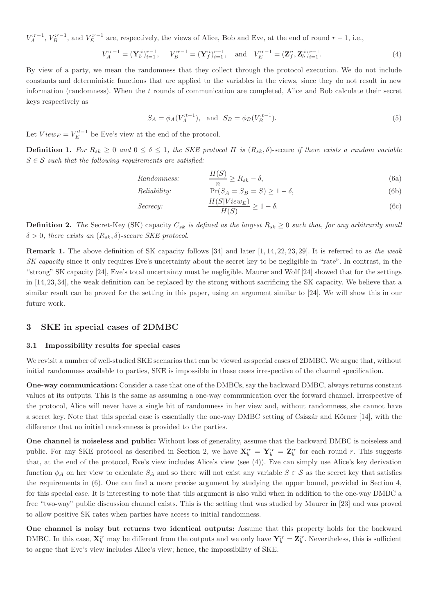$V_A^{r-r-1}$ ,  $V_B^{r-r-1}$ , and  $V_E^{r-1}$  are, respectively, the views of Alice, Bob and Eve, at the end of round  $r-1$ , i.e.,

$$
V_A^{:r-1} = (\mathbf{Y}_b^{:i})_{i=1}^{r-1}, \quad V_B^{:r-1} = (\mathbf{Y}_f^{:i})_{i=1}^{r-1}, \quad \text{and} \quad V_E^{:r-1} = (\mathbf{Z}_f^{:i}, \mathbf{Z}_b^{:i})_{i=1}^{r-1}.
$$
 (4)

By view of a party, we mean the randomness that they collect through the protocol execution. We do not include constants and deterministic functions that are applied to the variables in the views, since they do not result in new information (randomness). When the t rounds of communication are completed, Alice and Bob calculate their secret keys respectively as

$$
S_A = \phi_A(V_A^{t-1}), \text{ and } S_B = \phi_B(V_B^{t-1}).
$$
\n(5)

Let  $View_E = V_E^{:t-1}$  be Eve's view at the end of the protocol.

**Definition 1.** For  $R_{sk} \geq 0$  and  $0 \leq \delta \leq 1$ , the SKE protocol  $\Pi$  is  $(R_{sk}, \delta)$ -secure *if there exists a random variable*  $S \in \mathcal{S}$  *such that the following requirements are satisfied:* 

*Randomness:* <sup>H</sup>(S) n ≥ Rsk − δ, (6a)

*Reliability:* Pr(S<sup>A</sup> = S<sup>B</sup> = S) ≥ 1 − δ, (6b)

$$
Sercey: \t\t\t\t\t\frac{H(S|View_E)}{H(S)} \ge 1 - \delta.
$$
\n(6c)

**Definition 2.** The Secret-Key (SK) capacity  $C_{sk}$  *is defined as the largest*  $R_{sk} \geq 0$  *such that, for any arbitrarily small*  $\delta > 0$ , there exists an  $(R_{sk}, \delta)$ -secure SKE protocol.

Remark 1. The above definition of SK capacity follows [34] and later [1, 14, 22, 23, 29]. It is referred to as *the weak SK capacity* since it only requires Eve's uncertainty about the secret key to be negligible in "rate". In contrast, in the "strong" SK capacity [24], Eve's total uncertainty must be negligible. Maurer and Wolf [24] showed that for the settings in [14, 23, 34], the weak definition can be replaced by the strong without sacrificing the SK capacity. We believe that a similar result can be proved for the setting in this paper, using an argument similar to [24]. We will show this in our future work.

## 3 SKE in special cases of 2DMBC

### 3.1 Impossibility results for special cases

We revisit a number of well-studied SKE scenarios that can be viewed as special cases of 2DMBC. We argue that, without initial randomness available to parties, SKE is impossible in these cases irrespective of the channel specification.

One-way communication: Consider a case that one of the DMBCs, say the backward DMBC, always returns constant values at its outputs. This is the same as assuming a one-way communication over the forward channel. Irrespective of the protocol, Alice will never have a single bit of randomness in her view and, without randomness, she cannot have a secret key. Note that this special case is essentially the one-way DMBC setting of Csiszár and Körner [14], with the difference that no initial randomness is provided to the parties.

One channel is noiseless and public: Without loss of generality, assume that the backward DMBC is noiseless and public. For any SKE protocol as described in Section 2, we have  $\mathbf{X}_{b}^{ir} = \mathbf{Y}_{b}^{ir} = \mathbf{Z}_{b}^{ir}$  for each round r. This suggests that, at the end of the protocol, Eve's view includes Alice's view (see (4)). Eve can simply use Alice's key derivation function  $\phi_A$  on her view to calculate  $S_A$  and so there will not exist any variable  $S \in \mathcal{S}$  as the secret key that satisfies the requirements in (6). One can find a more precise argument by studying the upper bound, provided in Section 4, for this special case. It is interesting to note that this argument is also valid when in addition to the one-way DMBC a free "two-way" public discussion channel exists. This is the setting that was studied by Maurer in [23] and was proved to allow positive SK rates when parties have access to initial randomness.

One channel is noisy but returns two identical outputs: Assume that this property holds for the backward DMBC. In this case,  $\mathbf{X}_{b}^{;r}$  may be different from the outputs and we only have  $\mathbf{Y}_{b}^{;r} = \mathbf{Z}_{b}^{;r}$ . Nevertheless, this is sufficient to argue that Eve's view includes Alice's view; hence, the impossibility of SKE.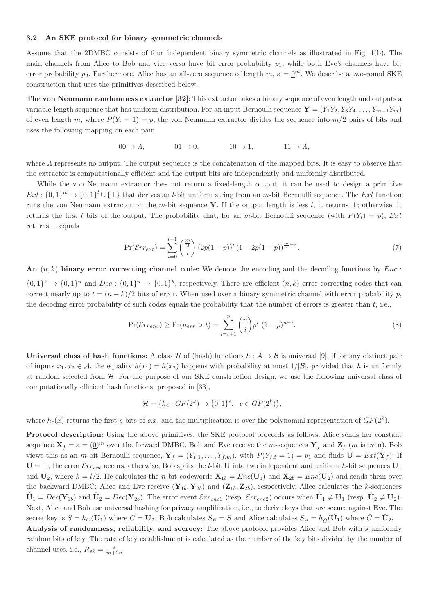### 3.2 An SKE protocol for binary symmetric channels

Assume that the 2DMBC consists of four independent binary symmetric channels as illustrated in Fig. 1(b). The main channels from Alice to Bob and vice versa have bit error probability  $p_1$ , while both Eve's channels have bit error probability  $p_2$ . Furthermore, Alice has an all-zero sequence of length m,  $\mathbf{a} = \underline{0}^m$ . We describe a two-round SKE construction that uses the primitives described below.

The von Neumann randomness extractor [32]: This extractor takes a binary sequence of even length and outputs a variable-length sequence that has uniform distribution. For an input Bernoulli sequence  $\mathbf{Y} = (Y_1 Y_2, Y_3 Y_4, \ldots, Y_{m-1} Y_m)$ of even length m, where  $P(Y_i = 1) = p$ , the von Neumann extractor divides the sequence into  $m/2$  pairs of bits and uses the following mapping on each pair

$$
00 \to \Lambda, \qquad 01 \to 0, \qquad 10 \to 1, \qquad 11 \to \Lambda,
$$

where  $\Lambda$  represents no output. The output sequence is the concatenation of the mapped bits. It is easy to observe that the extractor is computationally efficient and the output bits are independently and uniformly distributed.

While the von Neumann extractor does not return a fixed-length output, it can be used to design a primitive  $Ext: \{0,1\}^m \to \{0,1\}^l \cup \{\perp\}$  that derives an *l*-bit uniform string from an *m*-bit Bernoulli sequence. The *Ext* function runs the von Neumann extractor on the m-bit sequence Y. If the output length is less l, it returns  $\perp$ ; otherwise, it returns the first l bits of the output. The probability that, for an m-bit Bernoulli sequence (with  $P(Y_i) = p$ ), Ext returns ⊥ equals

$$
\Pr(\mathcal{E}rr_{ext}) = \sum_{i=0}^{l-1} \binom{\frac{m}{2}}{i} \left(2p(1-p)\right)^i \left(1 - 2p(1-p)\right)^{\frac{m}{2} - i}.
$$
\n(7)

An  $(n, k)$  binary error correcting channel code: We denote the encoding and the decoding functions by  $Enc$ :  $\{0,1\}^k \to \{0,1\}^n$  and  $Dec: \{0,1\}^n \to \{0,1\}^k$ , respectively. There are efficient  $(n,k)$  error correcting codes that can correct nearly up to  $t = (n - k)/2$  bits of error. When used over a binary symmetric channel with error probability p, the decoding error probability of such codes equals the probability that the number of errors is greater than  $t$ , i.e.,

$$
\Pr(\mathcal{E}r_{enc}) \ge \Pr(n_{err} > t) = \sum_{i=t+1}^{n} {n \choose i} p^i (1-p)^{n-i}.
$$
 (8)

Universal class of hash functions: A class H of (hash) functions  $h : A \rightarrow B$  is universal [9], if for any distinct pair of inputs  $x_1, x_2 \in \mathcal{A}$ , the equality  $h(x_1) = h(x_2)$  happens with probability at most  $1/|\mathcal{B}|$ , provided that h is uniformly at random selected from H. For the purpose of our SKE construction design, we use the following universal class of computationally efficient hash functions, proposed in [33],

$$
\mathcal{H} = \{h_c : GF(2^k) \to \{0, 1\}^s, \ c \in GF(2^k)\},\
$$

where  $h_c(x)$  returns the first s bits of c.x, and the multiplication is over the polynomial representation of  $GF(2^k)$ .

Protocol description: Using the above primitives, the SKE protocol proceeds as follows. Alice sends her constant sequence  $X_f = a = (0)^m$  over the forward DMBC. Bob and Eve receive the m-sequences  $Y_f$  and  $Z_f$  (m is even). Bob views this as an m-bit Bernoulli sequence,  $\mathbf{Y}_f = (Y_{f,1}, \ldots, Y_{f,m})$ , with  $P(Y_{f,i} = 1) = p_1$  and finds  $\mathbf{U} = Ext(\mathbf{Y}_f)$ . If  $U = \perp$ , the error  $\mathcal{E}rr_{ext}$  occurs; otherwise, Bob splits the *l*-bit U into two independent and uniform *k*-bit sequences  $U_1$ and  $U_2$ , where  $k = l/2$ . He calculates the *n*-bit codewords  $X_{1b} = Enc(U_1)$  and  $X_{2b} = Enc(U_2)$  and sends them over the backward DMBC; Alice and Eve receive  $(Y_{1b}, Y_{2b})$  and  $(Z_{1b}, Z_{2b})$ , respectively. Alice calculates the k-sequences  $\hat{\mathbf{U}}_1 = Dec(\mathbf{Y}_{1b})$  and  $\hat{\mathbf{U}}_2 = Dec(\mathbf{Y}_{2b})$ . The error event  $\mathcal{E}rr_{enc1}$  (resp.  $\mathcal{E}rr_{enc2}$ ) occurs when  $\hat{\mathbf{U}}_1 \neq \mathbf{U}_1$  (resp.  $\hat{\mathbf{U}}_2 \neq \mathbf{U}_2$ ). Next, Alice and Bob use universal hashing for privacy amplification, i.e., to derive keys that are secure against Eve. The secret key is  $S = h_C(\mathbf{U}_1)$  where  $C = \mathbf{U}_2$ . Bob calculates  $S_B = S$  and Alice calculates  $S_A = h_{\hat{C}}(\hat{\mathbf{U}}_1)$  where  $\hat{C} = \hat{\mathbf{U}}_2$ . Analysis of randomness, reliability, and secrecy: The above protocol provides Alice and Bob with s uniformly random bits of key. The rate of key establishment is calculated as the number of the key bits divided by the number of channel uses, i.e.,  $R_{sk} = \frac{s}{m+2n}$ .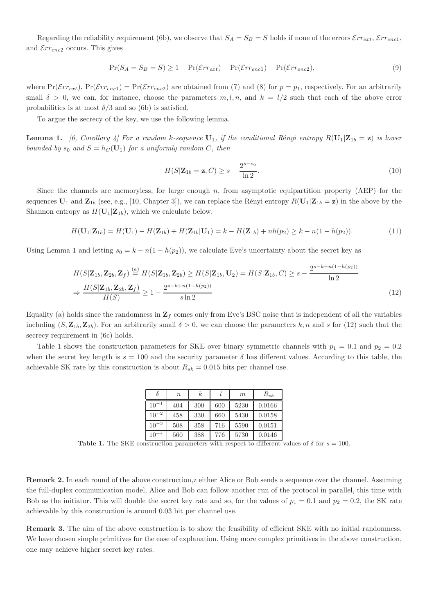Regarding the reliability requirement (6b), we observe that  $S_A = S_B = S$  holds if none of the errors  $\mathcal{E}rr_{ext}$ ,  $\mathcal{E}rr_{encl}$ , and  $\mathcal{E}rr_{enc2}$  occurs. This gives

$$
\Pr(S_A = S_B = S) \ge 1 - \Pr(\mathcal{E}r_{ext}) - \Pr(\mathcal{E}r_{enc1}) - \Pr(\mathcal{E}r_{enc2}),\tag{9}
$$

where  $Pr(\mathcal{E}rr_{ext})$ ,  $Pr(\mathcal{E}rr_{enc1}) = Pr(\mathcal{E}rr_{enc2})$  are obtained from (7) and (8) for  $p = p_1$ , respectively. For an arbitrarily small  $\delta > 0$ , we can, for instance, choose the parameters  $m, l, n$ , and  $k = l/2$  such that each of the above error probabilities is at most  $\delta/3$  and so (6b) is satisfied.

To argue the secrecy of the key, we use the following lemma.

**Lemma 1.** [6, Corollary 4] For a random k-sequence  $U_1$ , if the conditional Rényi entropy  $R(U_1|\mathbf{Z}_{1b} = \mathbf{z})$  is lower *bounded by*  $s_0$  *and*  $S = h_C(\mathbf{U}_1)$  *for a uniformly random* C, *then* 

$$
H(S|\mathbf{Z}_{1b}=\mathbf{z},C) \geq s - \frac{2^{s-s_0}}{\ln 2}.\tag{10}
$$

Since the channels are memoryless, for large enough  $n$ , from asymptotic equipartition property (AEP) for the sequences  $U_1$  and  $Z_{1b}$  (see, e.g., [10, Chapter 3]), we can replace the Rényi entropy  $R(U_1|Z_{1b} = z)$  in the above by the Shannon entropy as  $H(U_1|Z_{1b})$ , which we calculate below.

$$
H(\mathbf{U}_1|\mathbf{Z}_{1b}) = H(\mathbf{U}_1) - H(\mathbf{Z}_{1b}) + H(\mathbf{Z}_{1b}|\mathbf{U}_1) = k - H(\mathbf{Z}_{1b}) + nh(p_2) \ge k - n(1 - h(p_2)).
$$
\n(11)

Using Lemma 1 and letting  $s_0 = k - n(1 - h(p_2))$ , we calculate Eve's uncertainty about the secret key as

$$
H(S|\mathbf{Z}_{1b}, \mathbf{Z}_{2b}, \mathbf{Z}_{f}) \stackrel{(a)}{=} H(S|\mathbf{Z}_{1b}, \mathbf{Z}_{2b}) \ge H(S|\mathbf{Z}_{1b}, \mathbf{U}_{2}) = H(S|\mathbf{Z}_{1b}, C) \ge s - \frac{2^{s-k+n(1-h(p_2))}}{\ln 2}
$$
  
\n
$$
\Rightarrow \frac{H(S|\mathbf{Z}_{1b}, \mathbf{Z}_{2b}, \mathbf{Z}_{f})}{H(S)} \ge 1 - \frac{2^{s-k+n(1-h(p_2))}}{s \ln 2}
$$
\n(12)

Equality (a) holds since the randomness in  $\mathbf{Z}_f$  comes only from Eve's BSC noise that is independent of all the variables including  $(S, \mathbf{Z}_{1b}, \mathbf{Z}_{2b})$ . For an arbitrarily small  $\delta > 0$ , we can choose the parameters k, n and s for (12) such that the secrecy requirement in (6c) holds.

Table 1 shows the construction parameters for SKE over binary symmetric channels with  $p_1 = 0.1$  and  $p_2 = 0.2$ when the secret key length is  $s = 100$  and the security parameter  $\delta$  has different values. According to this table, the achievable SK rate by this construction is about  $R_{sk} = 0.015$  bits per channel use.

|           | $\boldsymbol{n}$ | $\boldsymbol{k}$ |     | m    | $R_{sk}$ |
|-----------|------------------|------------------|-----|------|----------|
| $10^{-1}$ | 404              | 300              | 600 | 5230 | 0.0166   |
| $10^{-2}$ | 458              | 330              | 660 | 5430 | 0.0158   |
| $10^{-3}$ | 508              | 358              | 716 | 5590 | 0.0151   |
| $10^{-4}$ | 560              | 388              | 776 | 5730 | 0.0146   |

Table 1. The SKE construction parameters with respect to different values of  $\delta$  for  $s = 100$ .

Remark 2. In each round of the above construction,z either Alice or Bob sends a sequence over the channel. Assuming the full-duplex communication model, Alice and Bob can follow another run of the protocol in parallel, this time with Bob as the initiator. This will double the secret key rate and so, for the values of  $p_1 = 0.1$  and  $p_2 = 0.2$ , the SK rate achievable by this construction is around 0.03 bit per channel use.

Remark 3. The aim of the above construction is to show the feasibility of efficient SKE with no initial randomness. We have chosen simple primitives for the ease of explanation. Using more complex primitives in the above construction, one may achieve higher secret key rates.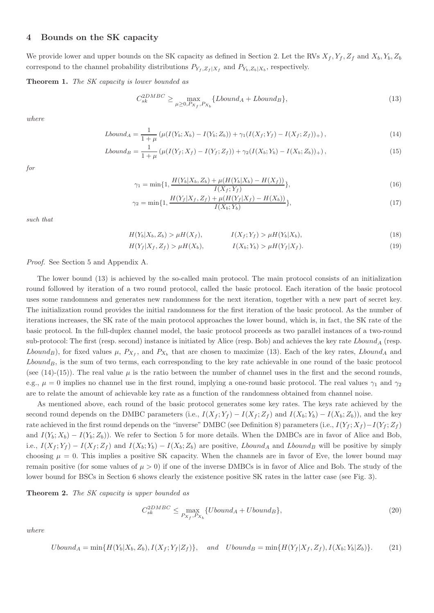## 4 Bounds on the SK capacity

We provide lower and upper bounds on the SK capacity as defined in Section 2. Let the RVs  $X_f, Y_f, Z_f$  and  $X_b, Y_b, Z_b$ correspond to the channel probability distributions  $P_{Y_f, Z_f | X_f}$  and  $P_{Y_b, Z_b | X_b}$ , respectively.

Theorem 1. *The SK capacity is lower bounded as*

$$
C_{sk}^{2DMBC} \ge \max_{\mu \ge 0, P_{X_f}, P_{X_b}} \{Lbound_A + Lbound_B\},\tag{13}
$$

*where*

$$
Lbound_A = \frac{1}{1+\mu} \left( \mu(I(Y_b; X_b) - I(Y_b; Z_b)) + \gamma_1(I(X_f; Y_f) - I(X_f; Z_f)) + \right),\tag{14}
$$

$$
Lbound_B = \frac{1}{1+\mu} \left( \mu(I(Y_f; X_f) - I(Y_f; Z_f)) + \gamma_2 (I(X_b; Y_b) - I(X_b; Z_b)) + \right),\tag{15}
$$

for

$$
\gamma_1 = \min\{1, \frac{H(Y_b|X_b, Z_b) + \mu(H(Y_b|X_b) - H(X_f))}{I(X_f; Y_f)}\},\tag{16}
$$

$$
\gamma_2 = \min\{1, \frac{H(Y_f|X_f, Z_f) + \mu(H(Y_f|X_f) - H(X_b))}{I(X_b; Y_b)}\},\tag{17}
$$

such that

$$
H(Y_b|X_b, Z_b) > \mu H(X_f), \qquad I(X_f; Y_f) > \mu H(Y_b|X_b), \qquad (18)
$$

$$
Z_f) > \mu H(X_b), \qquad I(X_b; Y_b) > \mu H(Y_f | X_f). \tag{19}
$$

*Proof.* See Section 5 and Appendix A.

 $H(Y_f | X_f,$ 

The lower bound (13) is achieved by the so-called main protocol. The main protocol consists of an initialization round followed by iteration of a two round protocol, called the basic protocol. Each iteration of the basic protocol uses some randomness and generates new randomness for the next iteration, together with a new part of secret key. The initialization round provides the initial randomness for the first iteration of the basic protocol. As the number of iterations increases, the SK rate of the main protocol approaches the lower bound, which is, in fact, the SK rate of the basic protocol. In the full-duplex channel model, the basic protocol proceeds as two parallel instances of a two-round sub-protocol: The first (resp. second) instance is initiated by Alice (resp. Bob) and achieves the key rate  $Lbound_A$  (resp. Lbound<sub>B</sub>), for fixed values  $\mu$ ,  $P_{X_f}$ , and  $P_{X_b}$  that are chosen to maximize (13). Each of the key rates, Lbound<sub>A</sub> and  $Lbound_B$ , is the sum of two terms, each corresponding to the key rate achievable in one round of the basic protocol (see (14)-(15)). The real value  $\mu$  is the ratio between the number of channel uses in the first and the second rounds, e.g.,  $\mu = 0$  implies no channel use in the first round, implying a one-round basic protocol. The real values  $\gamma_1$  and  $\gamma_2$ are to relate the amount of achievable key rate as a function of the randomness obtained from channel noise.

As mentioned above, each round of the basic protocol generates some key rates. The keys rate achieved by the second round depends on the DMBC parameters (i.e.,  $I(X_f; Y_f) - I(X_f; Z_f)$  and  $I(X_b; Y_b) - I(X_b; Z_b)$ ), and the key rate achieved in the first round depends on the "inverse" DMBC (see Definition 8) parameters (i.e.,  $I(Y_f; X_f) - I(Y_f; Z_f)$ and  $I(Y_b; X_b) - I(Y_b; Z_b)$ . We refer to Section 5 for more details. When the DMBCs are in favor of Alice and Bob, i.e.,  $I(X_f; Y_f) - I(X_f; Z_f)$  and  $I(X_b; Y_b) - I(X_b; Z_b)$  are positive, Lbound<sub>A</sub> and Lbound<sub>B</sub> will be positive by simply choosing  $\mu = 0$ . This implies a positive SK capacity. When the channels are in favor of Eve, the lower bound may remain positive (for some values of  $\mu > 0$ ) if one of the inverse DMBCs is in favor of Alice and Bob. The study of the lower bound for BSCs in Section 6 shows clearly the existence positive SK rates in the latter case (see Fig. 3).

Theorem 2. *The SK capacity is upper bounded as*

 $\overline{C}$ 

$$
C_{sk}^{2DMBC} \le \max_{P_{X_f}, P_{X_b}} \{Ubound_A + Ubound_B\},\tag{20}
$$

*where*

$$
Ubound_A = \min\{H(Y_b|X_b, Z_b), I(X_f; Y_f|Z_f)\}, \quad and \quad Ubound_B = \min\{H(Y_f|X_f, Z_f), I(X_b; Y_b|Z_b)\}.
$$
 (21)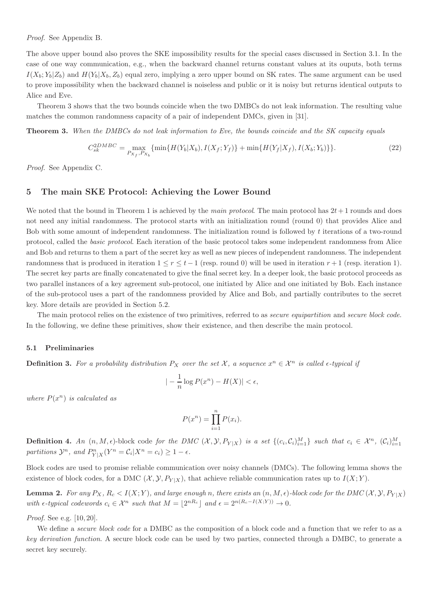*Proof.* See Appendix B.

The above upper bound also proves the SKE impossibility results for the special cases discussed in Section 3.1. In the case of one way communication, e.g., when the backward channel returns constant values at its ouputs, both terms  $I(X_b; Y_b|Z_b)$  and  $H(Y_b|X_b, Z_b)$  equal zero, implying a zero upper bound on SK rates. The same argument can be used to prove impossibility when the backward channel is noiseless and public or it is noisy but returns identical outputs to Alice and Eve.

Theorem 3 shows that the two bounds coincide when the two DMBCs do not leak information. The resulting value matches the common randomness capacity of a pair of independent DMCs, given in [31].

Theorem 3. *When the DMBCs do not leak information to Eve, the bounds coincide and the SK capacity equals*

$$
C_{sk}^{2DMBC} = \max_{P_{X_f}, P_{X_b}} \{ \min\{H(Y_b|X_b), I(X_f;Y_f)\} + \min\{H(Y_f|X_f), I(X_b;Y_b)\} \}.
$$
\n(22)

*Proof.* See Appendix C.

## 5 The main SKE Protocol: Achieving the Lower Bound

We noted that the bound in Theorem 1 is achieved by the *main protocol*. The main protocol has  $2t + 1$  rounds and does not need any initial randomness. The protocol starts with an initialization round (round 0) that provides Alice and Bob with some amount of independent randomness. The initialization round is followed by t iterations of a two-round protocol, called the *basic protocol*. Each iteration of the basic protocol takes some independent randomness from Alice and Bob and returns to them a part of the secret key as well as new pieces of independent randomness. The independent randomness that is produced in iteration  $1 \le r \le t - 1$  (resp. round 0) will be used in iteration  $r + 1$  (resp. iteration 1). The secret key parts are finally concatenated to give the final secret key. In a deeper look, the basic protocol proceeds as two parallel instances of a key agreement sub-protocol, one initiated by Alice and one initiated by Bob. Each instance of the sub-protocol uses a part of the randomness provided by Alice and Bob, and partially contributes to the secret key. More details are provided in Section 5.2.

The main protocol relies on the existence of two primitives, referred to as *secure equipartition* and *secure block code*. In the following, we define these primitives, show their existence, and then describe the main protocol.

### 5.1 Preliminaries

**Definition 3.** For a probability distribution  $P_X$  over the set  $\mathcal{X}$ , a sequence  $x^n \in \mathcal{X}^n$  is called  $\epsilon$ -typical if

$$
|-\frac{1}{n}\log P(x^n) - H(X)| < \epsilon,
$$

*where*  $P(x^n)$  *is calculated as* 

$$
P(x^n) = \prod_{i=1}^n P(x_i).
$$

**Definition 4.** An  $(n, M, \epsilon)$ -block code for the DMC  $(X, \mathcal{Y}, P_{Y|X})$  is a set  $\{(c_i, C_i)_{i=1}^M\}$  such that  $c_i \in \mathcal{X}^n$ ,  $(C_i)_{i=1}^M$ partitions  $\mathcal{Y}^n$ , and  $P_{Y|X}^n(Y^n = C_i | X^n = c_i) \geq 1 - \epsilon$ .

Block codes are used to promise reliable communication over noisy channels (DMCs). The following lemma shows the existence of block codes, for a DMC  $(\mathcal{X}, \mathcal{Y}, P_{Y|X})$ , that achieve reliable communication rates up to  $I(X; Y)$ .

**Lemma 2.** For any  $P_X$ ,  $R_c < I(X;Y)$ , and large enough n, there exists an  $(n, M, \epsilon)$ -block code for the DMC  $(X, Y, P_{Y|X})$ *with*  $\epsilon$ -*typical codewords*  $c_i \in \mathcal{X}^n$  *such that*  $M = \lfloor 2^{nR_c} \rfloor$  *and*  $\epsilon = 2^{n(R_c - I(X;Y))} \to 0$ *.* 

*Proof.* See e.g. [10, 20].

We define a *secure block code* for a DMBC as the composition of a block code and a function that we refer to as a *key derivation function*. A secure block code can be used by two parties, connected through a DMBC, to generate a secret key securely.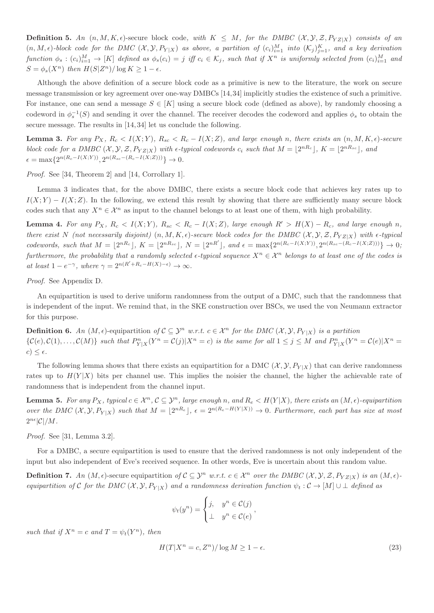**Definition 5.** An  $(n, M, K, \epsilon)$ -secure block code, with  $K \leq M$ , for the DMBC  $(X, Y, Z, P_{YZ|X})$  consists of an  $(n, M, \epsilon)$ *-block code for the DMC*  $(X, \mathcal{Y}, P_{Y|X})$  as above, a partition of  $(c_i)_{i=1}^M$  into  $(\mathcal{K}_j)_{j=1}^K$ , and a key derivation  $function \phi_s: (c_i)_{i=1}^M \to [K]$  defined as  $\phi_s(c_i) = j$  iff  $c_i \in \mathcal{K}_j$ , such that if  $X^n$  is uniformly selected from  $(c_i)_{i=1}^M$  and  $S = \phi_s(X^n)$  then  $H(S|Z^n)/\log K \geq 1-\epsilon$ *.* 

Although the above definition of a secure block code as a primitive is new to the literature, the work on secure message transmission or key agreement over one-way DMBCs [14,34] implicitly studies the existence of such a primitive. For instance, one can send a message  $S \in [K]$  using a secure block code (defined as above), by randomly choosing a codeword in  $\phi_s^{-1}(S)$  and sending it over the channel. The receiver decodes the codeword and applies  $\phi_s$  to obtain the secure message. The results in [14, 34] let us conclude the following.

**Lemma 3.** For any  $P_X$ ,  $R_c < I(X;Y)$ ,  $R_{sc} < R_c - I(X;Z)$ , and large enough n, there exists an  $(n, M, K, \epsilon)$ -secure *block code for a DMBC*  $(X, Y, Z, P_{YZ|X})$  *with*  $\epsilon$ -typical codewords  $c_i$  such that  $M = \lfloor 2^{nR_c} \rfloor$ ,  $K = \lfloor 2^{nR_{sc}} \rfloor$ , and  $\epsilon = \max\{2^{n(R_c - I(X;Y))}, 2^{n(R_{sc} - (R_c - I(X;Z)))}\} \to 0.$ 

*Proof.* See [34, Theorem 2] and [14, Corrollary 1].

Lemma 3 indicates that, for the above DMBC, there exists a secure block code that achieves key rates up to  $I(X; Y) - I(X; Z)$ . In the following, we extend this result by showing that there are sufficiently many secure block codes such that any  $X^n \in \mathcal{X}^n$  as input to the channel belongs to at least one of them, with high probability.

**Lemma 4.** For any  $P_X$ ,  $R_c < I(X;Y)$ ,  $R_{sc} < R_c - I(X;Z)$ , large enough  $R' > H(X) - R_c$ , and large enough n, *there exist* N *(not necessarily disjoint)*  $(n, M, K, \epsilon)$ *-secure block codes for the DMBC*  $(X, Y, Z, P_{YZ|X})$  *with*  $\epsilon$ *-typical codewords, such that*  $M = \lfloor 2^{nR_c} \rfloor$ ,  $K = \lfloor 2^{nR_{sc}} \rfloor$ ,  $N = \lfloor 2^{nR'} \rfloor$ , and  $\epsilon = \max\{2^{n(R_c - I(X;Y))}, 2^{n(R_{sc} - (R_c - I(X;Z)))}\}$  → 0*; furthermore, the probability that a randomly selected*  $\epsilon$ -typical sequence  $X^n \in \mathcal{X}^n$  *belongs to at least one of the codes is at least*  $1 - e^{-\gamma}$ *, where*  $\gamma = 2^{n(R' + R_c - H(X) - \epsilon)} \to \infty$ *.* 

*Proof.* See Appendix D.

An equipartition is used to derive uniform randomness from the output of a DMC, such that the randomness that is independent of the input. We remind that, in the SKE construction over BSCs, we used the von Neumann extractor for this purpose.

**Definition 6.** An  $(M, \epsilon)$ -equipartition of  $C \subseteq \mathcal{Y}^n$  *w.r.t.*  $c \in \mathcal{X}^n$  for the DMC  $(\mathcal{X}, \mathcal{Y}, P_{Y|X})$  is a partition  $\{\mathcal{C}(e), \mathcal{C}(1), \ldots, \mathcal{C}(M)\}\$  such that  $P_{Y|X}^n(Y^n = \mathcal{C}(j)|X^n = c)$  is the same for all  $1 \leq j \leq M$  and  $P_{Y|X}^n(Y^n = \mathcal{C}(e)|X^n = c)$  $c) \leq \epsilon$ .

The following lemma shows that there exists an equipartition for a DMC  $(\mathcal{X}, \mathcal{Y}, P_{Y|X})$  that can derive randomness rates up to  $H(Y|X)$  bits per channel use. This implies the noisier the channel, the higher the achievable rate of randomness that is independent from the channel input.

**Lemma 5.** For any  $P_X$ , typical  $c \in \mathcal{X}^n$ ,  $\mathcal{C} \subseteq \mathcal{Y}^n$ , large enough n, and  $R_e < H(Y|X)$ , there exists an  $(M, \epsilon)$ -equipartition *over the DMC*  $(X, Y, P_{Y|X})$  *such that*  $M = \lfloor 2^{nR_e} \rfloor$ ,  $\epsilon = 2^{n(R_e - H(Y|X))} \rightarrow 0$ . Furthermore, each part has size at most  $2^{n\epsilon}$ | $\mathcal{C}$ |/M.

*Proof.* See [31, Lemma 3.2].

For a DMBC, a secure equipartition is used to ensure that the derived randomness is not only independent of the input but also independent of Eve's received sequence. In other words, Eve is uncertain about this random value.

**Definition 7.** An  $(M, \epsilon)$ -secure equipartition of  $C \subseteq \mathcal{Y}^n$  w.r.t.  $c \in \mathcal{X}^n$  over the DMBC  $(\mathcal{X}, \mathcal{Y}, \mathcal{Z}, P_{YZ|X})$  is an  $(M, \epsilon)$ *equipartition of* C *for the DMC*  $(X, Y, P_{Y|X})$  *and a randomness derivation function*  $\psi_t : C \to [M] \cup \bot$  *defined as* 

$$
\psi_t(y^n) = \begin{cases} j, & y^n \in \mathcal{C}(j) \\ \perp & y^n \in \mathcal{C}(e) \end{cases}
$$

such that if  $X^n = c$  and  $T = \psi_t(Y^n)$ , then

$$
H(T|X^n = c, Z^n) / \log M \ge 1 - \epsilon. \tag{23}
$$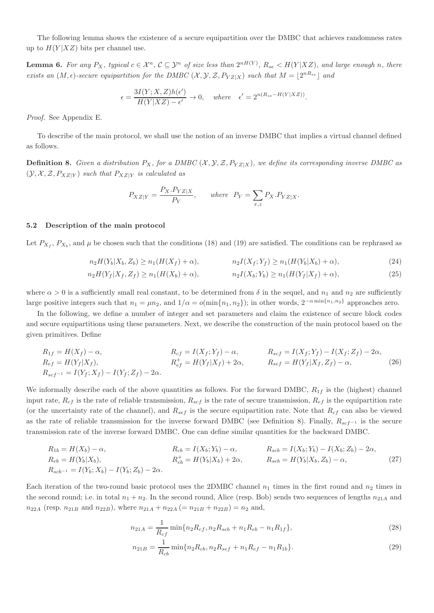The following lemma shows the existence of a secure equipartition over the DMBC that achieves randomness rates up to  $H(Y|XZ)$  bits per channel use.

**Lemma 6.** For any  $P_X$ , typical  $c \in \mathcal{X}^n$ ,  $\mathcal{C} \subseteq \mathcal{Y}^n$  of size less than  $2^{nH(Y)}$ ,  $R_{se} < H(Y|XZ)$ , and large enough n, there *exists an*  $(M, \epsilon)$ -secure equipartition for the DMBC  $(X, \mathcal{Y}, \mathcal{Z}, P_{YZ|X})$  *such that*  $M = \lfloor 2^{nR_{se}} \rfloor$  *and* 

$$
\epsilon = \frac{3I(Y; X, Z)h(\epsilon')}{H(Y|XZ) - \epsilon'} \to 0, \quad \text{where} \quad \epsilon' = 2^{n(R_{se} - H(Y|XZ))}.
$$

*Proof.* See Appendix E.

To describe of the main protocol, we shall use the notion of an inverse DMBC that implies a virtual channel defined as follows.

**Definition 8.** Given a distribution  $P_X$ , for a DMBC  $(X, Y, Z, P_{YZ|X})$ , we define its corresponding inverse DMBC as  $(\mathcal{Y}, \mathcal{X}, \mathcal{Z}, P_{XZ|Y})$  *such that*  $P_{XZ|Y}$  *is calculated as* 

$$
P_{XZ|Y} = \frac{P_X.P_{YZ|X}}{P_Y}, \qquad \text{where} \quad P_Y = \sum_{x,z} P_X.P_{YZ|X}.
$$

### 5.2 Description of the main protocol

Let  $P_{X_f}, P_{X_b}$ , and  $\mu$  be chosen such that the conditions (18) and (19) are satisfied. The conditions can be rephrased as

$$
n_2H(Y_b|X_b, Z_b) \ge n_1(H(X_f) + \alpha), \qquad n_2I(X_f; Y_f) \ge n_1(H(Y_b|X_b) + \alpha), \tag{24}
$$

$$
n_2H(Y_f|X_f, Z_f) \ge n_1(H(X_b) + \alpha), \qquad n_2I(X_b; Y_b) \ge n_1(H(Y_f|X_f) + \alpha), \tag{25}
$$

where  $\alpha > 0$  is a sufficiently small real constant, to be determined from  $\delta$  in the sequel, and  $n_1$  and  $n_2$  are sufficiently large positive integers such that  $n_1 = \mu n_2$ , and  $1/\alpha = o(\min\{n_1, n_2\})$ ; in other words,  $2^{-\alpha \min\{n_1, n_2\}}$  approaches zero.

In the following, we define a number of integer and set parameters and claim the existence of secure block codes and secure equipartitions using these parameters. Next, we describe the construction of the main protocol based on the given primitives. Define

$$
R_{1f} = H(X_f) - \alpha, \qquad R_{cf} = I(X_f; Y_f) - \alpha, \qquad R_{scf} = I(X_f; Y_f) - I(X_f; Z_f) - 2\alpha, R_{ef} = H(Y_f|X_f), \qquad R_{ef}^+ = H(Y_f|X_f) + 2\alpha, \qquad R_{sef} = H(Y_f|X_f, Z_f) - \alpha, \qquad (26)
$$

We informally describe each of the above quantities as follows. For the forward DMBC,  $R_{1f}$  is the (highest) channel input rate,  $R_{cf}$  is the rate of reliable transmission,  $R_{scf}$  is the rate of secure transmission,  $R_{ef}$  is the equipartition rate (or the uncertainty rate of the channel), and  $R_{\text{sef}}$  is the secure equipartition rate. Note that  $R_{cf}$  can also be viewed as the rate of reliable transmission for the inverse forward DMBC (see Definition 8). Finally,  $R_{sc}f-1$  is the secure transmission rate of the inverse forward DMBC. One can define similar quantities for the backward DMBC.

$$
R_{1b} = H(X_b) - \alpha, \qquad R_{cb} = I(X_b; Y_b) - \alpha, \qquad R_{scb} = I(X_b; Y_b) - I(X_b; Z_b) - 2\alpha, R_{eb} = H(Y_b|X_b), \qquad R_{eb}^+ = H(Y_b|X_b) + 2\alpha, \qquad R_{seb} = H(Y_b|X_b, Z_b) - \alpha, \qquad (27) R_{scb^{-1}} = I(Y_b; X_b) - I(Y_b; Z_b) - 2\alpha.
$$

Each iteration of the two-round basic protocol uses the 2DMBC channel  $n_1$  times in the first round and  $n_2$  times in the second round; i.e. in total  $n_1 + n_2$ . In the second round, Alice (resp. Bob) sends two sequences of lengths  $n_{21A}$  and  $n_{22A}$  (resp.  $n_{21B}$  and  $n_{22B}$ ), where  $n_{21A} + n_{22A}$  (=  $n_{21B} + n_{22B}$ ) =  $n_2$  and,

$$
n_{21A} = \frac{1}{R_{cf}} \min\{n_2 R_{cf}, n_2 R_{seb} + n_1 R_{eb} - n_1 R_{1f}\},\tag{28}
$$

$$
n_{21B} = \frac{1}{R_{cb}} \min\{n_2 R_{cb}, n_2 R_{sef} + n_1 R_{ef} - n_1 R_{1b}\}.
$$
\n(29)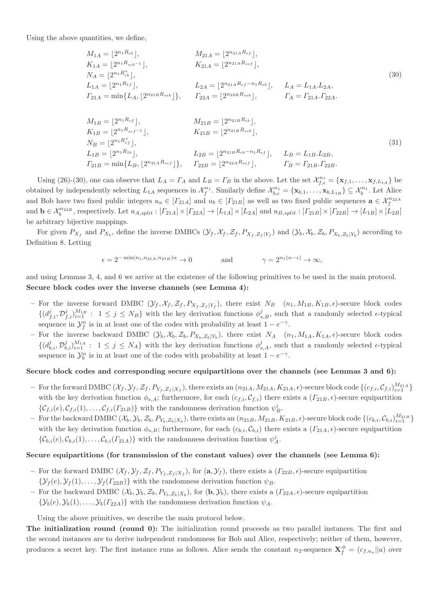Using the above quantities, we define,

$$
M_{1A} = \lfloor 2^{n_1 R_{cb}} \rfloor, \t M_{21A} = \lfloor 2^{n_{21A} R_{cf}} \rfloor, \nK_{1A} = \lfloor 2^{n_1 R_{sb-1}} \rfloor, \t K_{21A} = \lfloor 2^{n_{21A} R_{scf}} \rfloor, \nN_A = \lfloor 2^{n_1 R_{tb}} \rfloor, \t L_{2A} = \lfloor 2^{n_{21A} R_{cf}} - n_1 R_{eb} \rfloor, \t L_A = L_{1A}.L_{2A}, \n\Gamma_{21A} = \min\{L_A, \lfloor 2^{n_{21B} R_{seb}} \rfloor\}, \t \Gamma_{22A} = \lfloor 2^{n_{22B} R_{seb}} \rfloor, \t \Gamma_A = \Gamma_{21A}.T_{22A}.
$$
\n
$$
M_{1B} = \lfloor 2^{n_1 R_{cf}} \rfloor, \t M_{21B} = \lfloor 2^{n_{21B} R_{cb}} \rfloor, \nK_{1B} = \lfloor 2^{n_1 R_{cf}} \rfloor, \t K_{21B} = \lfloor 2^{n_{21B} R_{sb}} \rfloor, \nN_B = \lfloor 2^{n_1 R_{ef}^t} \rfloor, \t L_{2B} = \lfloor 2^{n_{21B} R_{scb}} \rfloor, \t L_B = L_{1B}.L_{2B}, \n\Gamma_{21B} = \min\{L_B, \lfloor 2^{n_{21A} R_{sef}} \rfloor\}, \t \Gamma_{22B} = \lfloor 2^{n_{22A} R_{sef}} \rfloor, \t \Gamma_B = \Gamma_{21B}.T_{22B}.
$$
\n(31)

Using (26)-(30), one can observe that  $L_A = \Gamma_A$  and  $L_B = \Gamma_B$  in the above. Let the set  $\mathcal{X}_{f,\epsilon}^{n_1} = {\mathbf{x}_{f,1}, \ldots, \mathbf{x}_{f,L_{1A}}}$  be obtained by independently selecting  $L_{1A}$  sequences in  $\mathcal{X}_{f}^{n_1}$ . Similarly define  $\mathcal{X}_{b,\epsilon}^{n_1} = {\mathbf{x}_{b,1}, \ldots, \mathbf{x}_{b,L_{1B}} } \subseteq \mathcal{X}_{b}^{n_1}$ . Let Alice and Bob have two fixed public integers  $u_a \in [F_{21A}]$  and  $u_b \in [F_{21B}]$  as well as two fixed public sequences  $\mathbf{a} \in \mathcal{X}_{f}^{n_{22A}}$ and  $\mathbf{b} \in \mathcal{X}_{b}^{n_{22B}}$ , respectively. Let  $u_{A,split} : [F_{21A}] \times [F_{22A}] \rightarrow [L_{1A}] \times [L_{2A}]$  and  $u_{B,split} : [F_{21B}] \times [F_{22B}] \rightarrow [L_{1B}] \times [L_{2B}]$ be arbitrary bijective mappings.

For given  $P_{X_f}$  and  $P_{X_b}$ , define the inverse DMBCs  $(\mathcal{Y}_f, \mathcal{X}_f, \mathcal{Z}_f, P_{X_f, Z_f|Y_f})$  and  $(\mathcal{Y}_b, \mathcal{X}_b, \mathcal{Z}_b, P_{X_b, Z_b|Y_b})$  according to Definition 8. Letting

$$
\epsilon = 2^{-\min(n_1, n_{21A}, n_{21B})\alpha} \to 0 \quad \text{and} \quad \gamma = 2^{n_1(\alpha - \epsilon)} \to \infty,
$$

and using Lemmas 3, 4, and 6 we arrive at the existence of the following primitives to be used in the main protocol. Secure block codes over the inverse channels (see Lemma 4):

- For the inverse forward DMBC  $(\mathcal{Y}_f, \mathcal{X}_f, \mathcal{Z}_f, P_{X_f, Z_f | Y_f})$ , there exist  $N_B$   $(n_1, M_{1B}, K_{1B}, \epsilon)$ -secure block codes  $\{(d_{f,i}^{j}, \mathcal{D}_{f,i}^{j})_{i=1}^{M_{1B}} : 1 \leq j \leq N_B\}$  with the key derivation functions  $\phi_{s,B}^{j}$ , such that a randomly selected  $\epsilon$ -typical sequence in  $\mathcal{Y}_{f}^{n}$  is in at least one of the codes with probability at least  $1-e^{-\gamma}$ .
- For the inverse backward DMBC  $(\mathcal{Y}_b, \mathcal{X}_b, \mathcal{Z}_b, P_{X_b, Z_b|Y_b})$ , there exist  $N_A$   $(n_1, M_{1A}, K_{1A}, \epsilon)$ -secure block codes  $\{(d_{b,i}^j, \mathcal{D}_{b,i}^j)_{i=1}^{M_{1A}} : 1 \leq j \leq N_A\}$  with the key derivation functions  $\phi_{s,A}^j$ , such that a randomly selected  $\epsilon$ -typical sequence in  $\mathcal{Y}_b^n$  is in at least one of the codes with probability at least  $1 - e^{-\gamma}$ .

### Secure block codes and corresponding secure equipartitions over the channels (see Lemmas 3 and 6):

- For the forward DMBC  $(\mathcal{X}_f, \mathcal{Y}_f, \mathcal{Z}_f, P_{Y_f, Z_f | X_f})$ , there exists an  $(n_{21A}, M_{21A}, K_{21A}, \epsilon)$ -secure block code  $\{(c_{f,i}, \mathcal{C}_{f,i})_{i=1}^{M_{21A}}\}$ with the key derivation function  $\phi_{s,A}$ ; furthermore, for each  $(c_{f,i}, \mathcal{C}_{f,i})$  there exists a  $(\Gamma_{21B}, \epsilon)$ -secure equipartition  $\{\mathcal{C}_{f,i}(e), \mathcal{C}_{f,i}(1), \ldots, \mathcal{C}_{f,i}(r_{21B})\}$  with the randomness derivation function  $\psi_B^i$ .
- For the backward DMBC  $(\mathcal{X}_b, \mathcal{Y}_b, \mathcal{Z}_b, P_{Y_b, Z_b | X_b})$ , there exists an  $(n_{21B}, M_{21B}, K_{21B}, \epsilon)$ -secure block code  $\{(c_{b,i}, \mathcal{C}_{b,i})_{i=1}^{M_{21B}}\}$ with the key derivation function  $\phi_{s,B}$ ; furthermore, for each  $(c_{b,i}, \mathcal{C}_{b,i})$  there exists a  $(\Gamma_{21A}, \epsilon)$ -secure equipartition  $\{\mathcal{C}_{b,i}(e), \mathcal{C}_{b,i}(1), \ldots, \mathcal{C}_{b,i}(r_{21A})\}$  with the randomness derivation function  $\psi_A^i$ .

### Secure equipartitions (for transmission of the constant values) over the channels (see Lemma 6):

- For the forward DMBC  $(\mathcal{X}_f, \mathcal{Y}_f, \mathcal{Z}_f, P_{Y_f, Z_f | X_f})$ , for  $(\mathbf{a}, \mathcal{Y}_f)$ , there exists a  $(\Gamma_{22B}, \epsilon)$ -secure equipartition  ${\mathcal{Y}_f(e), \mathcal{Y}_f(1), \ldots, \mathcal{Y}_f(\Gamma_{22B})}$  with the randomness derivation function  $\psi_B$ .
- For the backward DMBC  $(\mathcal{X}_b, \mathcal{Y}_b, \mathcal{Z}_b, P_{Y_b, Z_b|X_b})$ , for  $(\mathbf{b}, \mathcal{Y}_b)$ , there exists a  $(\Gamma_{22A}, \epsilon)$ -secure equipartition  ${\mathcal{Y}_b}(e), {\mathcal{Y}_b}(1), \ldots, {\mathcal{Y}_b}(\Gamma_{22A})$  with the randomness derivation function  $\psi_A$ .

Using the above primitives, we describe the main protocol below.

The initialization round (round 0): The initialization round proceeds as two parallel instances. The first and the second instances are to derive independent randomness for Bob and Alice, respectively; neither of them, however, produces a secret key. The first instance runs as follows. Alice sends the constant  $n_2$ -sequence  $\mathbf{X}_{f}^{:0} = (c_{f,u_a}||a)$  over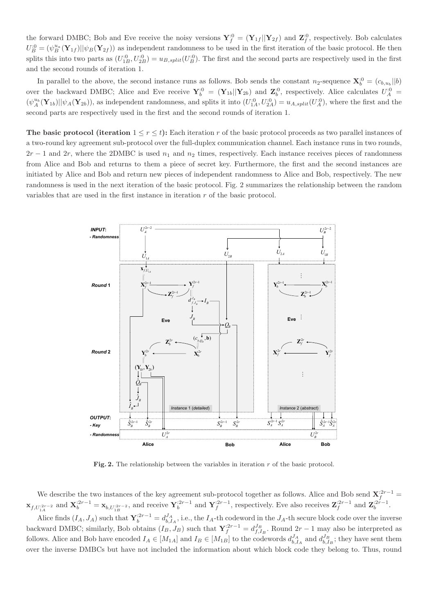the forward DMBC; Bob and Eve receive the noisy versions  $\mathbf{Y}_{f}^{:0} = (\mathbf{Y}_{1f}||\mathbf{Y}_{2f})$  and  $\mathbf{Z}_{f}^{:0}$ , respectively. Bob calculates  $U_B^{.0} = (\psi_B^{u_a}(\mathbf{Y}_{1f}) || \psi_B(\mathbf{Y}_{2f}))$  as independent randomness to be used in the first iteration of the basic protocol. He then splits this into two parts as  $(U_{1B}^{.0}, U_{2B}^{.0}) = u_{B,split}(U_B^{.0})$ . The first and the second parts are respectively used in the first and the second rounds of iteration 1.

In parallel to the above, the second instance runs as follows. Bob sends the constant  $n_2$ -sequence  $\mathbf{X}_b^{:0} = (c_{b,u_b} || b)$ over the backward DMBC; Alice and Eve receive  $Y_b^{0} = (Y_{1b}||Y_{2b})$  and  $Z_b^{0}$ , respectively. Alice calculates  $U_A^{0} =$  $(\psi_A^{u_b}(\mathbf{Y}_{1b}) || \psi_A(\mathbf{Y}_{2b}))$ , as independent randomness, and splits it into  $(U_{1A}^{:0}, U_{2A}^{:0}) = u_{A,split}(U_A^{:0})$ , where the first and the second parts are respectively used in the first and the second rounds of iteration 1.

The basic protocol (iteration  $1 \leq r \leq t$ ): Each iteration r of the basic protocol proceeds as two parallel instances of a two-round key agreement sub-protocol over the full-duplex communication channel. Each instance runs in two rounds,  $2r - 1$  and  $2r$ , where the 2DMBC is used  $n_1$  and  $n_2$  times, respectively. Each instance receives pieces of randomness from Alice and Bob and returns to them a piece of secret key. Furthermore, the first and the second instances are initiated by Alice and Bob and return new pieces of independent randomness to Alice and Bob, respectively. The new randomness is used in the next iteration of the basic protocol. Fig. 2 summarizes the relationship between the random variables that are used in the first instance in iteration r of the basic protocol.



Fig. 2. The relationship between the variables in iteration  $r$  of the basic protocol.

We describe the two instances of the key agreement sub-protocol together as follows. Alice and Bob send  $X_f^{:2r-1}$  $\mathbf{x}_{f,U_{1A}^{(2r-2)}}$  and  $\mathbf{X}_{b}^{(2r-1)} = \mathbf{x}_{b,U_{1B}^{(2r-2)}}$ , and receive  $\mathbf{Y}_{b}^{(2r-1)}$  and  $\mathbf{Y}_{f}^{(2r-1)}$ , respectively. Eve also receives  $\mathbf{Z}_{f}^{(2r-1)}$  and  $\mathbf{Z}_{b}^{(2r-1)}$ .

Alice finds  $(I_A, J_A)$  such that  $\mathbf{Y}_b^{:2r-1} = d_{b,I_A}^{J_A}$ , i.e., the  $I_A$ -th codeword in the  $J_A$ -th secure block code over the inverse backward DMBC; similarly, Bob obtains  $(I_B, J_B)$  such that  $\mathbf{Y}_f^{:2r-1} = d_{f,I_B}^{J_B}$ . Round  $2r-1$  may also be interpreted as follows. Alice and Bob have encoded  $I_A \in [M_{1A}]$  and  $I_B \in [M_{1B}]$  to the codewords  $d_{b,I_A}^{J_A}$  and  $d_{b,I_B}^{J_B}$ ; they have sent them over the inverse DMBCs but have not included the information about which block code they belong to. Thus, round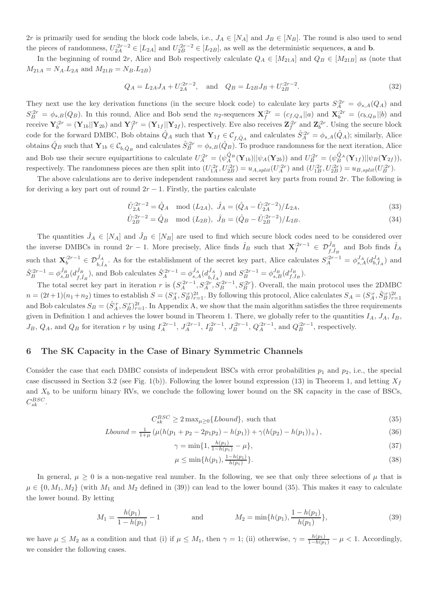2r is primarily used for sending the block code labels, i.e.,  $J_A \in [N_A]$  and  $J_B \in [N_B]$ . The round is also used to send the pieces of randomness,  $U_{2A}^{:2r-2} \in [L_{2A}]$  and  $U_{2B}^{:2r-2} \in [L_{2B}]$ , as well as the deterministic sequences, **a** and **b**.

In the beginning of round 2r, Alice and Bob respectively calculate  $Q_A \in [M_{21A}]$  and  $Q_B \in [M_{21B}]$  as (note that  $M_{21A} = N_A.L_{2A}$  and  $M_{21B} = N_B.L_{2B}$ 

$$
Q_A = L_{2A}J_A + U_{2A}^{.2r-2}, \quad \text{and} \quad Q_B = L_{2B}J_B + U_{2B}^{.2r-2}.
$$
 (32)

They next use the key derivation functions (in the secure block code) to calculate key parts  $S_A^{2r} = \phi_{s,A}(Q_A)$  and  $S_B^{.2r} = \phi_{s,B}(Q_B)$ . In this round, Alice and Bob send the n<sub>2</sub>-sequences  $\mathbf{X}_f^{.2r} = (c_{f,Q_A}||a)$  and  $\mathbf{X}_b^{.2r} = (c_{b,Q_B}||b)$  and receive  $\mathbf{Y}_{b}^{:2r} = (\mathbf{Y}_{1b}||\mathbf{Y}_{2b})$  and  $\mathbf{Y}_{f}^{:2r} = (\mathbf{Y}_{1f}||\mathbf{Y}_{2f})$ , respectively. Eve also receives  $\mathbf{Z}_{f}^{:2r}$  and  $\mathbf{Z}_{b}^{:2r}$ . Using the secure block code for the forward DMBC, Bob obtains  $\hat{Q}_A$  such that  $\mathbf{Y}_{1f} \in \mathcal{C}_{f,\hat{Q}_A}$  and calculates  $\hat{S}_A^{:2r} = \phi_{s,A}(\hat{Q}_A)$ ; similarly, Alice obtains  $\hat{Q}_B$  such that  $\mathbf{Y}_{1b} \in \mathcal{C}_{b,\hat{Q}_B}$  and calculates  $\hat{S}_B^{:2r} = \phi_{s,B}(\hat{Q}_B)$ . To produce randomness for the next iteration, Alice and Bob use their secure equipartitions to calculate  $U_A^{;2r} = (\psi_A^{\hat{Q}_B}(\mathbf{Y}_{1b}) || \psi_A(\mathbf{Y}_{2b}))$  and  $U_B^{;2r} = (\psi_B^{\hat{Q}_A}(\mathbf{Y}_{1f}) || \psi_B(\mathbf{Y}_{2f}))$ , respectively. The randomness pieces are then split into  $(U_{1A}^{.2r}, U_{2B}^{.2r}) = u_{A,split}(U_{A}^{.2r})$  and  $(U_{1B}^{.2r}, U_{2B}^{.2r}) = u_{B,split}(U_{B}^{.2r}).$ 

The above calculations are to derive independent randomness and secret key parts from round  $2r$ . The following is for deriving a key part out of round  $2r - 1$ . Firstly, the parties calculate

$$
\hat{U}_{2A}^{:2r-2} = \hat{Q}_A \mod (L_{2A}), \ \hat{J}_A = (\hat{Q}_A - \hat{U}_{2A}^{:2r-2})/L_{2A},\tag{33}
$$

$$
\hat{U}_{2B}^{:2r-2} = \hat{Q}_B \mod (L_{2B}), \ \hat{J}_B = (\hat{Q}_B - \hat{U}_{2B}^{:2r-2})/L_{2B}.
$$
\n(34)

The quantities  $\hat{J}_A \in [N_A]$  and  $\hat{J}_B \in [N_B]$  are used to find which secure block codes need to be considered over the inverse DMBCs in round  $2r-1$ . More precisely, Alice finds  $\hat{I}_B$  such that  $\mathbf{X}_f^{:2r-1} \in \mathcal{D}_{f,\hat{I}_B}^{\hat{J}_B}$  and Bob finds  $\hat{I}_A$ such that  $\mathbf{X}_{b}^{;2r-1} \in \mathcal{D}_{b,\hat{I}_A}^{\hat{J}_A}$ . As for the establishment of the secret key part, Alice calculates  $S_A^{;2r-1} = \phi_{s,A}^{J_A}(d_{b,I_A}^{J_A})$  and  $\hat{S}_{B}^{:2r-1} = \phi_{s,B}^{\hat{J}_{B}}(d_{f,\hat{I}}^{\hat{J}_{B}})$  $(\hat{J}_B^B)$ , and Bob calculates  $\hat{S}_A^{:2r-1} = \phi_{s,A}^{\hat{J}_A}(d_{b,\hat{I}}^{\hat{J}_A})$  $\binom{J_A}{b,\hat{I}_A}$  and  $S_B^{:2r-1} = \phi_{s,B}^{J_B}(d_{f,I_B}^{J_B}).$ 

The total secret key part in iteration r is  $(S_A^{2r-1}, S_A^{2r}, S_B^{2r-1}, S_B^{2r})$ . Overall, the main protocol uses the 2DMBC  $n = (2t+1)(n_1+n_2)$  times to establish  $S = (S_A^{\tau}, S_B^{\tau})_{r=1}^{2t}$ . By following this protocol, Alice calculates  $S_A = (S_A^{\tau}, \hat{S}_B^{\tau})_{r=1}^{2t}$ and Bob calculates  $S_B = (\hat{S}_A^{ir}, S_B^{ir})_{r=1}^{2t}$ . In Appendix A, we show that the main algorithm satisfies the three requirements given in Definition 1 and achieves the lower bound in Theorem 1. There, we globally refer to the quantities  $I_A$ ,  $J_A$ ,  $I_B$ ,  $J_B, Q_A$ , and  $Q_B$  for iteration r by using  $I_A^{:2r-1}$ ,  $J_A^{:2r-1}$ ,  $I_B^{:2r-1}$ ,  $J_B^{:2r-1}$ ,  $Q_A^{:2r-1}$ , and  $Q_B^{:2r-1}$ , respectively.

## 6 The SK Capacity in the Case of Binary Symmetric Channels

Consider the case that each DMBC consists of independent BSCs with error probabilities  $p_1$  and  $p_2$ , i.e., the special case discussed in Section 3.2 (see Fig. 1(b)). Following the lower bound expression (13) in Theorem 1, and letting  $X_f$ and  $X_b$  to be uniform binary RVs, we conclude the following lower bound on the SK capacity in the case of BSCs,  $C_{sk}^{\text{BSC}}$ .

$$
C_{sk}^{BSC} \ge 2 \max_{\mu \ge 0} \{Lbound\}, \text{ such that } \tag{35}
$$

$$
Lbound = \frac{1}{1+\mu} \left( \mu(h(p_1 + p_2 - 2p_1p_2) - h(p_1)) + \gamma(h(p_2) - h(p_1)) \right),\tag{36}
$$

$$
\gamma = \min\{1, \frac{h(p_1)}{1 - h(p_1)} - \mu\},\tag{37}
$$

$$
\mu \le \min\{h(p_1), \frac{1 - h(p_1)}{h(p_1)}\}.\tag{38}
$$

In general,  $\mu \geq 0$  is a non-negative real number. In the following, we see that only three selections of  $\mu$  that is  $\mu \in \{0, M_1, M_2\}$  (with  $M_1$  and  $M_2$  defined in (39)) can lead to the lower bound (35). This makes it easy to calculate the lower bound. By letting

$$
M_1 = \frac{h(p_1)}{1 - h(p_1)} - 1 \quad \text{and} \quad M_2 = \min\{h(p_1), \frac{1 - h(p_1)}{h(p_1)}\},\tag{39}
$$

we have  $\mu \leq M_2$  as a condition and that (i) if  $\mu \leq M_1$ , then  $\gamma = 1$ ; (ii) otherwise,  $\gamma = \frac{h(p_1)}{1 - h(p_1)} - \mu < 1$ . Accordingly, we consider the following cases.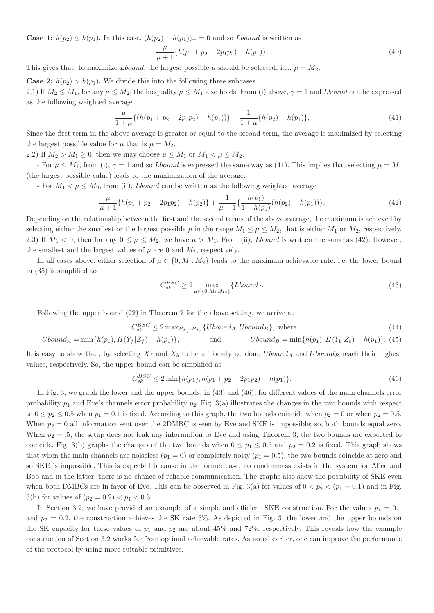**Case 1:**  $h(p_2) \leq h(p_1)$ . In this case,  $(h(p_2) - h(p_1))_{+} = 0$  and so *Lbound* is written as

$$
\frac{\mu}{\mu+1}\{h(p_1+p_2-2p_1p_2)-h(p_1)\}.
$$
\n(40)

This gives that, to maximize *Lbound*, the largest possible  $\mu$  should be selected, i.e.,  $\mu = M_2$ .

**Case 2:**  $h(p_2) > h(p_1)$ . We divide this into the following three subcases.

2.1) If  $M_2 \leq M_1$ , for any  $\mu \leq M_2$ , the inequality  $\mu \leq M_1$  also holds. From (i) above,  $\gamma = 1$  and Lbound can be expressed as the following weighted average

$$
\frac{\mu}{1+\mu}\{(h(p_1+p_2-2p_1p_2)-h(p_1))\}+\frac{1}{1+\mu}\{h(p_2)-h(p_1)\}.
$$
\n(41)

Since the first term in the above average is greater or equal to the second term, the average is maximized by selecting the largest possible value for  $\mu$  that is  $\mu = M_2$ .

2.2) If  $M_2 > M_1 \geq 0$ , then we may choose  $\mu \leq M_1$  or  $M_1 < \mu \leq M_2$ .

- For  $\mu \leq M_1$ , from (i),  $\gamma = 1$  and so Lbound is expressed the same way as (41). This implies that selecting  $\mu = M_1$ (the largest possible value) leads to the maximization of the average.

- For  $M_1 < \mu \leq M_2$ , from (ii), *Lbound* can be written as the following weighted average

$$
\frac{\mu}{\mu+1}\{h(p_1+p_2-2p_1p_2)-h(p_2)\}+\frac{1}{\mu+1}\{\frac{h(p_1)}{1-h(p_1)}(h(p_2)-h(p_1))\}.\tag{42}
$$

Depending on the relationship between the first and the second terms of the above average, the maximum is achieved by selecting either the smallest or the largest possible  $\mu$  in the range  $M_1 \leq \mu \leq M_2$ , that is either  $M_1$  or  $M_2$ , respectively. 2.3) If  $M_1 < 0$ , then for any  $0 \le \mu \le M_2$ , we have  $\mu > M_1$ . From (ii), *Lbound* is written the same as (42). However, the smallest and the largest values of  $\mu$  are 0 and  $M_2$ , respectively.

In all cases above, either selection of  $\mu \in \{0, M_1, M_2\}$  leads to the maximum achievable rate, i.e. the lower bound in (35) is simplified to

$$
C_{sk}^{BSC} \ge 2 \max_{\mu \in \{0, M_1, M_2\}} \{Lbound\}.
$$
\n(43)

Following the upper bound (22) in Theorem 2 for the above setting, we arrive at

$$
C_{sk}^{BSC} \le 2 \max_{P_{X_f}, P_{X_b}} \{Ubound_A, Ubound_B\}, \text{ where} \tag{44}
$$

$$
Ubound_A = min\{h(p_1), H(Y_f|Z_f) - h(p_1)\},
$$
 and  $Ubound_B = min\{h(p_1), H(Y_b|Z_b) - h(p_1)\}.$  (45)

It is easy to show that, by selecting  $X_f$  and  $X_b$  to be uniformly random, Ubound<sub>A</sub> and Ubound<sub>B</sub> reach their highest values, respectively. So, the upper bound can be simplified as

$$
C_{sk}^{BSC} \le 2 \min\{h(p_1), h(p_1 + p_2 - 2p_1p_2) - h(p_1)\}.
$$
\n(46)

In Fig. 3, we graph the lower and the upper bounds, in (43) and (46), for different values of the main channels error probability  $p_1$  and Eve's channels error probability  $p_2$ . Fig. 3(a) illustrates the changes in the two bounds with respect to  $0 \leq p_2 \leq 0.5$  when  $p_1 = 0.1$  is fixed. According to this graph, the two bounds coincide when  $p_2 = 0$  or when  $p_2 = 0.5$ . When  $p_2 = 0$  all information sent over the 2DMBC is seen by Eve and SKE is impossible; so, both bounds equal zero. When  $p_2 = 0.5$ , the setup does not leak any information to Eve and using Theorem 3, the two bounds are expected to coincide. Fig. 3(b) graphs the changes of the two bounds when  $0 \leq p_1 \leq 0.5$  and  $p_2 = 0.2$  is fixed. This graph shows that when the main channels are noiseless  $(p_1 = 0)$  or completely noisy  $(p_1 = 0.5)$ , the two bounds coincide at zero and so SKE is impossible. This is expected because in the former case, no randomness exists in the system for Alice and Bob and in the latter, there is no chance of reliable communication. The graphs also show the possibility of SKE even when both DMBCs are in favor of Eve. This can be observed in Fig. 3(a) for values of  $0 < p_2 < (p_1 = 0.1)$  and in Fig. 3(b) for values of  $(p_2 = 0.2) < p_1 < 0.5$ .

In Section 3.2, we have provided an example of a simple and efficient SKE construction. For the values  $p_1 = 0.1$ and  $p_2 = 0.2$ , the construction achieves the SK rate 3%. As depicted in Fig. 3, the lower and the upper bounds on the SK capacity for these values of  $p_1$  and  $p_2$  are about 45% and 72%, respectively. This reveals how the example construction of Section 3.2 works far from optimal achievable rates. As noted earlier, one can improve the performance of the protocol by using more suitable primitives.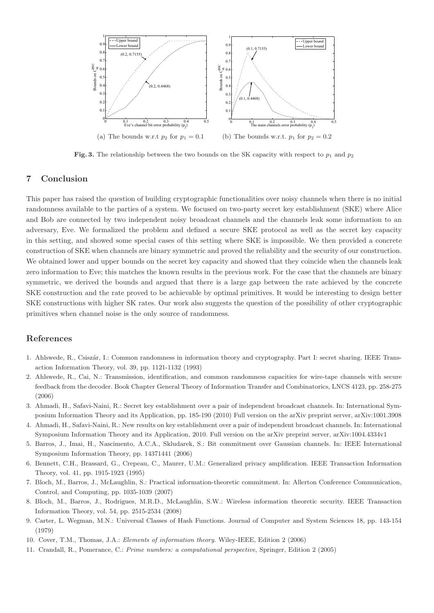

Fig. 3. The relationship between the two bounds on the SK capacity with respect to  $p_1$  and  $p_2$ 

## 7 Conclusion

This paper has raised the question of building cryptographic functionalities over noisy channels when there is no initial randomness available to the parties of a system. We focused on two-party secret key establishment (SKE) where Alice and Bob are connected by two independent noisy broadcast channels and the channels leak some information to an adversary, Eve. We formalized the problem and defined a secure SKE protocol as well as the secret key capacity in this setting, and showed some special cases of this setting where SKE is impossible. We then provided a concrete construction of SKE when channels are binary symmetric and proved the reliability and the security of our construction. We obtained lower and upper bounds on the secret key capacity and showed that they coincide when the channels leak zero information to Eve; this matches the known results in the previous work. For the case that the channels are binary symmetric, we derived the bounds and argued that there is a large gap between the rate achieved by the concrete SKE construction and the rate proved to be achievable by optimal primitives. It would be interesting to design better SKE constructions with higher SK rates. Our work also suggests the question of the possibility of other cryptographic primitives when channel noise is the only source of randomness.

## References

- 1. Ahlswede, R., Csisz´ar, I.: Common randomness in information theory and cryptography. Part I: secret sharing. IEEE Transaction Information Theory, vol. 39, pp. 1121-1132 (1993)
- 2. Ahlswede, R., Cai, N.: Transmission, identification, and common randomness capacities for wire-tape channels with secure feedback from the decoder. Book Chapter General Theory of Information Transfer and Combinatorics, LNCS 4123, pp. 258-275 (2006)
- 3. Ahmadi, H., Safavi-Naini, R.: Secret key establishment over a pair of independent broadcast channels. In: International Symposium Information Theory and its Application, pp. 185-190 (2010) Full version on the arXiv preprint server, arXiv:1001.3908
- 4. Ahmadi, H., Safavi-Naini, R.: New results on key establishment over a pair of independent broadcast channels. In: International Symposium Information Theory and its Application, 2010. Full version on the arXiv preprint server, arXiv:1004.4334v1
- 5. Barros, J., Imai, H., Nascimento, A.C.A., Skludarek, S.: Bit commitment over Gaussian channels. In: IEEE International Symposium Information Theory, pp. 14371441 (2006)
- 6. Bennett, C.H., Brassard, G., Crepeau, C., Maurer, U.M.: Generalized privacy amplification. IEEE Transaction Information Theory, vol. 41, pp. 1915-1923 (1995)
- 7. Bloch, M., Barros, J., McLaughlin, S.: Practical information-theoretic commitment. In: Allerton Conference Communication, Control, and Computing, pp. 1035-1039 (2007)
- 8. Bloch, M., Barros, J., Rodrigues, M.R.D., McLaughlin, S.W.: Wireless information theoretic security. IEEE Transaction Information Theory, vol. 54, pp. 2515-2534 (2008)
- 9. Carter, L. Wegman, M.N.: Universal Classes of Hash Functions. Journal of Computer and System Sciences 18, pp. 143-154 (1979)
- 10. Cover, T.M., Thomas, J.A.: Elements of information theory. Wiley-IEEE, Edition 2 (2006)
- 11. Crandall, R., Pomerance, C.: Prime numbers: a computational perspective, Springer, Edition 2 (2005)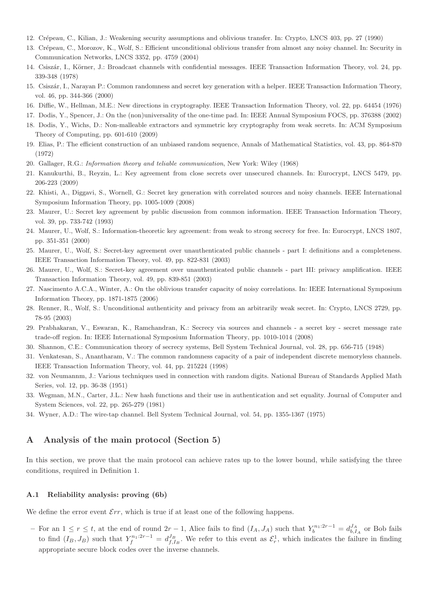- 12. Cr´epeau, C., Kilian, J.: Weakening security assumptions and oblivious transfer. In: Crypto, LNCS 403, pp. 27 (1990)
- 13. Crépeau, C., Morozov, K., Wolf, S.: Efficient unconditional oblivious transfer from almost any noisy channel. In: Security in Communication Networks, LNCS 3352, pp. 4759 (2004)
- 14. Csiszár, I., Körner, J.: Broadcast channels with confidential messages. IEEE Transaction Information Theory, vol. 24, pp. 339-348 (1978)
- 15. Csisz´ar, I., Narayan P.: Common randomness and secret key generation with a helper. IEEE Transaction Information Theory, vol. 46, pp. 344-366 (2000)
- 16. Diffie, W., Hellman, M.E.: New directions in cryptography. IEEE Transaction Information Theory, vol. 22, pp. 64454 (1976)
- 17. Dodis, Y., Spencer, J.: On the (non)universality of the one-time pad. In: IEEE Annual Symposium FOCS, pp. 376388 (2002)
- 18. Dodis, Y., Wichs, D.: Non-malleable extractors and symmetric key cryptography from weak secrets. In: ACM Symposium Theory of Computing, pp. 601-610 (2009)
- 19. Elias, P.: The efficient construction of an unbiased random sequence, Annals of Mathematical Statistics, vol. 43, pp. 864-870 (1972)
- 20. Gallager, R.G.: Information theory and teliable communication, New York: Wiley (1968)
- 21. Kanukurthi, B., Reyzin, L.: Key agreement from close secrets over unsecured channels. In: Eurocrypt, LNCS 5479, pp. 206-223 (2009)
- 22. Khisti, A., Diggavi, S., Wornell, G.: Secret key generation with correlated sources and noisy channels. IEEE International Symposium Information Theory, pp. 1005-1009 (2008)
- 23. Maurer, U.: Secret key agreement by public discussion from common information. IEEE Transaction Information Theory, vol. 39, pp. 733-742 (1993)
- 24. Maurer, U., Wolf, S.: Information-theoretic key agreement: from weak to strong secrecy for free. In: Eurocrypt, LNCS 1807, pp. 351-351 (2000)
- 25. Maurer, U., Wolf, S.: Secret-key agreement over unauthenticated public channels part I: definitions and a completeness. IEEE Transaction Information Theory, vol. 49, pp. 822-831 (2003)
- 26. Maurer, U., Wolf, S.: Secret-key agreement over unauthenticated public channels part III: privacy amplification. IEEE Transaction Information Theory, vol. 49, pp. 839-851 (2003)
- 27. Nascimento A.C.A., Winter, A.: On the oblivious transfer capacity of noisy correlations. In: IEEE International Symposium Information Theory, pp. 1871-1875 (2006)
- 28. Renner, R., Wolf, S.: Unconditional authenticity and privacy from an arbitrarily weak secret. In: Crypto, LNCS 2729, pp. 78-95 (2003)
- 29. Prabhakaran, V., Eswaran, K., Ramchandran, K.: Secrecy via sources and channels a secret key secret message rate trade-off region. In: IEEE International Symposium Information Theory, pp. 1010-1014 (2008)
- 30. Shannon, C.E.: Communication theory of secrecy systems, Bell System Technical Journal, vol. 28, pp. 656-715 (1948)
- 31. Venkatesan, S., Anantharam, V.: The common randomness capacity of a pair of independent discrete memoryless channels. IEEE Transaction Information Theory, vol. 44, pp. 215224 (1998)
- 32. von Neumannm, J.: Various techniques used in connection with random digits. National Bureau of Standards Applied Math Series, vol. 12, pp. 36-38 (1951)
- 33. Wegman, M.N., Carter, J.L.: New hash functions and their use in authentication and set equality. Journal of Computer and System Sciences, vol. 22, pp. 265-279 (1981)
- 34. Wyner, A.D.: The wire-tap channel. Bell System Technical Journal, vol. 54, pp. 1355-1367 (1975)

# A Analysis of the main protocol (Section 5)

In this section, we prove that the main protocol can achieve rates up to the lower bound, while satisfying the three conditions, required in Definition 1.

## A.1 Reliability analysis: proving (6b)

We define the error event  $\mathcal{E}rr$ , which is true if at least one of the following happens.

 $-$  For an  $1 \le r \le t$ , at the end of round  $2r - 1$ , Alice fails to find  $(I_A, J_A)$  such that  $Y_b^{n_1:2r-1} = d_{b,I_A}^{J_A}$  or Bob fails to find  $(I_B, J_B)$  such that  $Y_f^{n_1:2r-1} = d_{f,I_B}^{J_B}$ . We refer to this event as  $\mathcal{E}_r^1$ , which indicates the failure in finding appropriate secure block codes over the inverse channels.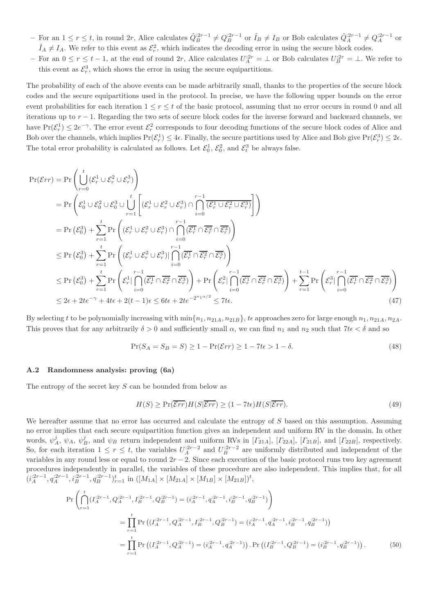- For an  $1 \le r \le t$ , in round 2r, Alice calculates  $\hat{Q}_{B}^{:2r-1} \neq Q_{B}^{:2r-1}$  or  $\hat{I}_{B} \neq I_{B}$  or Bob calculates  $\hat{Q}_{A}^{:2r-1} \neq Q_{A}^{:2r-1}$  or  $\hat{I}_A \neq I_A$ . We refer to this event as  $\mathcal{E}_r^2$ , which indicates the decoding error in using the secure block codes.
- $-$  For an  $0 \le r \le t-1$ , at the end of round  $2r$ , Alice calculates  $U_A^{2r} = \bot$  or Bob calculates  $U_B^{2r} = \bot$ . We refer to this event as  $\mathcal{E}_r^3$ , which shows the error in using the secure equipartitions.

The probability of each of the above events can be made arbitrarily small, thanks to the properties of the secure block codes and the secure equipartitions used in the protocol. In precise, we have the following upper bounds on the error event probabilities for each iteration  $1 \leq r \leq t$  of the basic protocol, assuming that no error occurs in round 0 and all iterations up to  $r - 1$ . Regarding the two sets of secure block codes for the inverse forward and backward channels, we have  $Pr(\mathcal{E}_r^1) \leq 2e^{-\gamma}$ . The error event  $\mathcal{E}_r^2$  corresponds to four decoding functions of the secure block codes of Alice and Bob over the channels, which implies  $Pr(\mathcal{E}_r^1) \leq 4\epsilon$ . Finally, the secure partitions used by Alice and Bob give  $Pr(\mathcal{E}_r^3) \leq 2\epsilon$ . The total error probability is calculated as follows. Let  $\mathcal{E}_0^1$ ,  $\mathcal{E}_0^2$ , and  $\mathcal{E}_t^3$  be always false.

$$
Pr(\mathcal{E}rr) = Pr\left(\bigcup_{r=0}^{t} (\mathcal{E}_{r}^{1} \cup \mathcal{E}_{r}^{2} \cup \mathcal{E}_{r}^{3})\right)
$$
  
\n
$$
= Pr\left(\mathcal{E}_{0}^{1} \cup \mathcal{E}_{0}^{2} \cup \mathcal{E}_{0}^{3} \cup \bigcup_{r=1}^{t} \left[ (\mathcal{E}_{r}^{1} \cup \mathcal{E}_{r}^{2} \cup \mathcal{E}_{r}^{3}) \cap \bigcap_{i=0}^{r-1} (\mathcal{E}_{r}^{1} \cup \mathcal{E}_{r}^{2} \cup \mathcal{E}_{r}^{3})\right]\right)
$$
  
\n
$$
= Pr\left(\mathcal{E}_{0}^{3}\right) + \sum_{r=1}^{t} Pr\left((\mathcal{E}_{r}^{1} \cup \mathcal{E}_{r}^{2} \cup \mathcal{E}_{r}^{3}) \cap \bigcap_{i=0}^{r-1} (\mathcal{E}_{r}^{1} \cap \mathcal{E}_{r}^{2} \cap \mathcal{E}_{r}^{3})\right)
$$
  
\n
$$
\leq Pr\left(\mathcal{E}_{0}^{3}\right) + \sum_{r=1}^{t} Pr\left((\mathcal{E}_{r}^{1} \cup \mathcal{E}_{r}^{2} \cup \mathcal{E}_{r}^{3})| \bigcap_{i=0}^{r-1} (\mathcal{E}_{r}^{1} \cap \mathcal{E}_{r}^{2} \cap \mathcal{E}_{r}^{3})\right)
$$
  
\n
$$
\leq Pr\left(\mathcal{E}_{0}^{3}\right) + \sum_{r=1}^{t} Pr\left(\mathcal{E}_{r}^{1} \cap \bigcap_{i=0}^{r-1} (\mathcal{E}_{r}^{1} \cap \mathcal{E}_{r}^{2} \cap \mathcal{E}_{r}^{3})\right) + Pr\left(\mathcal{E}_{r}^{2} \cap \bigcap_{i=0}^{r-1} (\mathcal{E}_{r}^{1} \cap \mathcal{E}_{r}^{2} \cap \mathcal{E}_{r}^{3})\right) + \sum_{r=1}^{t} Pr\left(\mathcal{E}_{r}^{3} \cap \bigcap_{i=0}^{r-1} (\mathcal{E}_{r}^{1} \cap \mathcal{E}_{r}^{2} \cap \mathcal{E}_{r}^{3})\right)
$$
  
\

By selecting t to be polynomially increasing with  $\min\{n_1, n_{21A}, n_{21B}\}\$ , te approaches zero for large enough  $n_1, n_{21A}, n_{2A}$ . This proves that for any arbitrarily  $\delta > 0$  and sufficiently small  $\alpha$ , we can find  $n_1$  and  $n_2$  such that  $7t\epsilon < \delta$  and so

$$
\Pr(S_A = S_B = S) \ge 1 - \Pr(\mathcal{E}rr) \ge 1 - 7t\epsilon > 1 - \delta. \tag{48}
$$

## A.2 Randomness analysis: proving (6a)

The entropy of the secret key  $S$  can be bounded from below as

$$
H(S) \ge \Pr(\overline{\mathcal{E}rr})H(S|\overline{\mathcal{E}rr}) \ge (1 - 7t\epsilon)H(S|\overline{\mathcal{E}rr}).
$$
\n(49)

We hereafter assume that no error has occurred and calculate the entropy of S based on this assumption. Assuming no error implies that each secure equipartition function gives an independent and uniform RV in the domain. In other words,  $\psi_A^j$ ,  $\psi_A$ ,  $\psi_B^j$ , and  $\psi_B$  return independent and uniform RVs in [ $\Gamma_{21A}$ ], [ $\Gamma_{22A}$ ], [ $\Gamma_{21B}$ ], and [ $\Gamma_{22B}$ ], respectively. So, for each iteration  $1 \leq r \leq t$ , the variables  $U_A^{:2r-2}$  and  $U_B^{:2r-2}$  are uniformly distributed and independent of the variables in any round less or equal to round  $2r - 2$ . Since each execution of the basic protocol runs two key agreement procedures independently in parallel, the variables of these procedure are also independent. This implies that, for all  $(i_A^{2r-1}, q_A^{2r-1}, i_B^{2r-1}, q_B^{2r-1})_{r=1}^t$  in  $([M_{1A}] \times [M_{21A}] \times [M_{1B}] \times [M_{21B}])^t$ ,

$$
\Pr\left(\bigcap_{r=1}^{t} (I_A^{2r-1}, Q_A^{2r-1}, I_B^{2r-1}, Q_B^{2r-1}) = (i_A^{2r-1}, q_A^{2r-1}, i_B^{2r-1}, q_B^{2r-1})\right)
$$
\n
$$
= \prod_{r=1}^{t} \Pr\left((I_A^{2r-1}, Q_A^{2r-1}, I_B^{2r-1}, Q_B^{2r-1}) = (i_A^{2r-1}, q_A^{2r-1}, i_B^{2r-1}, q_B^{2r-1})\right)
$$
\n
$$
= \prod_{r=1}^{t} \Pr\left((I_A^{2r-1}, Q_A^{2r-1}) = (i_A^{2r-1}, q_A^{2r-1})\right). \Pr\left((I_B^{2r-1}, Q_B^{2r-1}) = (i_B^{2r-1}, q_B^{2r-1})\right).
$$
\n(50)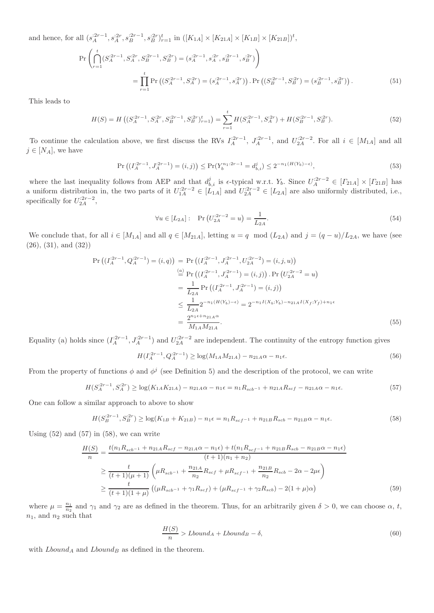and hence, for all  $(s_A^{:2r-1}, s_A^{:2r}, s_B^{:2r-1}, s_B^{:2r})_{r=1}^t$  in  $([K_{1A}] \times [K_{21A}] \times [K_{1B}] \times [K_{21B}])^t$ ,

$$
\Pr\left(\bigcap_{r=1}^{t} (S_A^{:2r-1}, S_A^{:2r}, S_B^{:2r-1}, S_B^{:2r}) = (s_A^{:2r-1}, s_A^{:2r}, s_B^{:2r-1}, s_B^{:2r})\right)
$$
\n
$$
= \prod_{r=1}^{t} \Pr\left((S_A^{:2r-1}, S_A^{:2r}) = (s_A^{:2r-1}, s_A^{:2r})\right). \Pr\left((S_B^{:2r-1}, S_B^{:2r}) = (s_B^{:2r-1}, s_B^{:2r})\right). \tag{51}
$$

This leads to

$$
H(S) = H\left( (S_A^{:2r-1}, S_A^{:2r}, S_B^{:2r-1}, S_B^{:2r})_{r=1}^t \right) = \sum_{r=1}^t H(S_A^{:2r-1}, S_A^{:2r}) + H(S_B^{:2r-1}, S_B^{:2r}). \tag{52}
$$

To continue the calculation above, we first discuss the RVs  $I_A^{:2r-1}$ ,  $J_A^{:2r-1}$ , and  $U_{2A}^{:2r-2}$ . For all  $i \in [M_{1A}]$  and all  $j \in [N_A]$ , we have

$$
\Pr\left(\left(I_A^{2r-1}, J_A^{2r-1}\right) = (i,j)\right) \le \Pr(Y_b^{n_1;2r-1} = d_{b,i}^j) \le 2^{-n_1(H(Y_b) - \epsilon)},\tag{53}
$$

where the last inequality follows from AEP and that  $d_{b,i}^j$  is  $\epsilon$ -typical w.r.t.  $Y_b$ . Since  $U_A^{2r-2} \in [T_{21A}] \times [T_{21B}]$  has a uniform distribution in, the two parts of it  $U_{1A}^{2r-2} \in [L_{1A}]$  and  $U_{2A}^{2r-2} \in [L_{2A}]$  are also uniformly distributed, i.e., specifically for  $U_{2A}^{:2r-2}$ ,

$$
\forall u \in [L_{2A}]: \quad \Pr\left(U_{2A}^{:2r-2} = u\right) = \frac{1}{L_{2A}}.\tag{54}
$$

We conclude that, for all  $i \in [M_{1A}]$  and all  $q \in [M_{21A}]$ , letting  $u = q \mod (L_{2A})$  and  $j = (q - u)/L_{2A}$ , we have (see (26), (31), and (32))

$$
\Pr\left((I_A^{2r-1}, Q_A^{2r-1}) = (i, q)\right) = \Pr\left((I_A^{2r-1}, J_A^{2r-1}, U_{2A}^{2r-2}) = (i, j, u)\right)
$$
  
\n
$$
\stackrel{(a)}{=} \Pr\left((I_A^{2r-1}, J_A^{2r-1}) = (i, j)\right) \cdot \Pr\left(U_{2A}^{2r-2} = u\right)
$$
  
\n
$$
= \frac{1}{L_{2A}} \Pr\left((I_A^{2r-1}, J_A^{2r-1}) = (i, j)\right)
$$
  
\n
$$
\leq \frac{1}{L_{2A}} 2^{-n_1(H(Y_b) - \epsilon)} = 2^{-n_1 I(X_b; Y_b) - n_{21A} I(X_f; Y_f) + n_1 \epsilon}
$$
  
\n
$$
= \frac{2^{n_1 \epsilon + n_{21A}\alpha}}{M_{1A} M_{21A}}.
$$
\n(55)

Equality (a) holds since  $(I_A^{2r-1}, J_A^{2r-1})$  and  $U_{2A}^{2r-2}$  are independent. The continuity of the entropy function gives

$$
H(I_A^{2r-1}, Q_A^{2r-1}) \ge \log(M_{1A}M_{21A}) - n_{21A}\alpha - n_1\epsilon. \tag{56}
$$

From the property of functions  $\phi$  and  $\phi^j$  (see Definition 5) and the description of the protocol, we can write

$$
H(S_A^{2r-1}, S_A^{2r}) \ge \log(K_{1A}K_{21A}) - n_{21A}\alpha - n_1\epsilon = n_1R_{sch^{-1}} + n_{21A}R_{scf} - n_{21A}\alpha - n_1\epsilon.
$$
 (57)

One can follow a similar approach to above to show

$$
H(S_B^{2r-1}, S_B^{2r}) \ge \log(K_{1B} + K_{21B}) - n_1 \epsilon = n_1 R_{scf^{-1}} + n_{21B} R_{scb} - n_{21B}\alpha - n_1 \epsilon.
$$
 (58)

Using  $(52)$  and  $(57)$  in  $(58)$ , we can write

$$
\frac{H(S)}{n} = \frac{t(n_1 R_{scb^{-1}} + n_{21A} R_{scf} - n_{21A}\alpha - n_1\epsilon) + t(n_1 R_{scf^{-1}} + n_{21B} R_{scb} - n_{21B}\alpha - n_1\epsilon)}{(t+1)(n_1 + n_2)}
$$
\n
$$
\geq \frac{t}{(t+1)(\mu+1)} \left(\mu R_{scb^{-1}} + \frac{n_{21A}}{n_2} R_{scf} + \mu R_{scf^{-1}} + \frac{n_{21B}}{n_2} R_{scb} - 2\alpha - 2\mu\epsilon\right)
$$
\n
$$
\geq \frac{t}{(t+1)(1+\mu)} \left((\mu R_{scb^{-1}} + \gamma_1 R_{scf}) + (\mu R_{scf^{-1}} + \gamma_2 R_{scb}) - 2(1+\mu)\alpha\right)
$$
\n(59)

where  $\mu = \frac{n_1}{n_2}$  and  $\gamma_1$  and  $\gamma_2$  are as defined in the theorem. Thus, for an arbitrarily given  $\delta > 0$ , we can choose  $\alpha$ , t,  $n_1$ , and  $n_2$  such that

$$
\frac{H(S)}{n} > Lbound_A + Lbound_B - \delta,
$$
\n(60)

with  $Lbound_A$  and  $Lbound_B$  as defined in the theorem.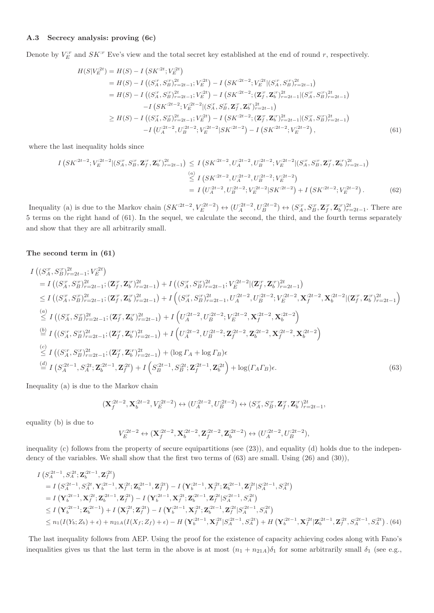## A.3 Secrecy analysis: proving (6c)

Denote by  $V_E^{ir}$  and  $SK^{ir}$  Eve's view and the total secret key established at the end of round r, respectively.

$$
H(S|V_E^{;2t}) = H(S) - I(SK^{;2t}; V_E^{;2t})
$$
  
=  $H(S) - I((S_A^T, S_B^T)_{r=2t-1}^2; V_E^{;2t}) - I(SK^{;2t-2}; V_E^{;2t}|(S_A^T, S_B^T)_{r=2t-1}^2)$   
=  $H(S) - I((S_A^T, S_B^T)_{r=2t-1}^2; V_E^{;2t}) - I(SK^{;2t-2}; (\mathbf{Z}_J^T, \mathbf{Z}_b^T)_{r=2t-1}^2|(S_A^T, S_B^T)_{r=2t-1}^2)$   
 $- I(SK^{;2t-2}; V_E^{;2t-2}|(S_A^T, S_B^T, \mathbf{Z}_J^T, \mathbf{Z}_b^T)_{r=2t-1}^2)$   
 $\geq H(S) - I((S_A^T, S_B^T)_{r=2t-1}^2; V_E^{;2t}) - I(SK^{;2t-2}; (\mathbf{Z}_J^T, \mathbf{Z}_b^T)_{r=2t-1}^2|(S_A^T, S_B^T)_{r=2t-1}^2)$   
 $- I(U_A^{2t-2}, U_B^{;2t-2}; V_E^{;2t-2}|SK^{;2t-2}) - I(SK^{;2t-2}; V_E^{;2t-2})$ , (61)

where the last inequality holds since

$$
I(SK^{2t-2}; V_E^{2t-2}|(S_A^T, S_B^T, \mathbf{Z}_f^T, \mathbf{Z}_b^T)_{r=2t-1}^2) \leq I(SK^{2t-2}, U_A^{2t-2}, U_B^{2t-2}; V_E^{2t-2}|(S_A^T, S_B^T, \mathbf{Z}_f^T, \mathbf{Z}_b^T)_{r=2t-1}^2)
$$
  
\n
$$
\leq I(SK^{2t-2}, U_A^{2t-2}, U_B^{2t-2}; V_E^{2t-2})
$$
  
\n
$$
= I(U_A^{2t-2}, U_B^{2t-2}; V_E^{2t-2}|SK^{2t-2}) + I(SK^{2t-2}; V_E^{2t-2}; V_E^{2t-2}).
$$
 (62)

Inequality (a) is due to the Markov chain  $(SK^{2t-2}, V_E^{2t-2}) \leftrightarrow (U_A^{2t-2}, U_B^{2t-2}) \leftrightarrow (S_A^x, S_B^x, \mathbf{Z}_f^x, \mathbf{Z}_b^x, \mathbf{Z}_f^x, \mathbf{Z}_b^x)_{r=2t-1}^x$ . There are 5 terms on the right hand of (61). In the sequel, we calculate the second, the third, and the fourth terms separately and show that they are all arbitrarily small.

#### The second term in (61)

$$
I\left((S_A^r, S_B^r)^{2t}_{r=2t-1}; V_E^{2t}\right)
$$
\n
$$
= I\left((S_A^r, S_B^r)^{2t}_{r=2t-1}; (\mathbf{Z}_f^r, \mathbf{Z}_b^r)^{2t}_{r=2t-1}\right) + I\left((S_A^r, S_B^r)^{2t}_{r=2t-1}; V_E^{2t-2} | (\mathbf{Z}_f^r, \mathbf{Z}_b^r)^{2t}_{r=2t-1})\right)
$$
\n
$$
\leq I\left((S_A^r, S_B^r)^{2t}_{r=2t-1}; (\mathbf{Z}_f^r, \mathbf{Z}_b^r)^{2t}_{r=2t-1}\right) + I\left((S_A^r, S_B^r)^{2t}_{r=2t-1}, U_A^{2t-2}, U_B^{2t-2}; V_E^{2t-2}, \mathbf{X}_f^{2t-2}, \mathbf{X}_b^{2t-2} | (\mathbf{Z}_f^r, \mathbf{Z}_b^r)^{2t}_{r=2t-1}\right)
$$
\n(a)\n
$$
\leq I\left((S_A^r, S_B^r)^{2t}_{r=2t-1}; (\mathbf{Z}_f^r, \mathbf{Z}_b^r)^{2t}_{r=2t-1}\right) + I\left(U_A^{2t-2}, U_B^{2t-2}; V_E^{2t-2}, \mathbf{X}_f^{2t-2}, \mathbf{X}_b^{2t-2}\right)
$$
\n(b)\n
$$
= I\left((S_A^r, S_B^r)^{2t}_{r=2t-1}; (\mathbf{Z}_f^r, \mathbf{Z}_b^r)^{2t}_{r=2t-1}\right) + I\left(U_A^{2t-2}, U_B^{2t-2}; \mathbf{Z}_f^{2t-2}, \mathbf{Z}_b^{2t-2}, \mathbf{X}_f^{2t-2}, \mathbf{X}_b^{2t-2}\right)
$$
\n(c)\n
$$
\leq I\left((S_A^r, S_B^r)^{2t}_{r=2t-1}; (\mathbf{Z}_f^r, \mathbf{Z}_b^r)^{2t}_{r=2t-1}\right) + (\log \Gamma_A + \log \Gamma_B)\epsilon
$$
\n(d)\n
$$
I\left(S_A^{2t-1}, S_A^{2t}; \mathbf{Z}_b^{2t-1}, \mathbf{Z}_f^{
$$

Inequality (a) is due to the Markov chain

$$
(\mathbf{X}_{f}^{:2t-2}, \mathbf{X}_{b}^{:2t-2}, V_{E}^{:2t-2}) \leftrightarrow (U_{A}^{:2t-2}, U_{B}^{:2t-2}) \leftrightarrow (S_{A}^{:r}, S_{B}^{:r}, \mathbf{Z}_{f}^{:r}, \mathbf{Z}_{b}^{:r})_{r=2t-1}^{2t},
$$

equality (b) is due to

$$
V_E^{:2t-2}\leftrightarrow (\mathbf{X}_{f}^{:2t-2},\mathbf{X}_{b}^{:2t-2},\mathbf{Z}_{f}^{:2t-2},\mathbf{Z}_{b}^{:2t-2}) \leftrightarrow (U_A^{:2t-2},U_B^{:2t-2}),
$$

inequality (c) follows from the property of secure equipartitions (see (23)), and equality (d) holds due to the independency of the variables. We shall show that the first two terms of (63) are small. Using (26) and (30)),

$$
I(S_A^{2t-1}, S_A^{2t}; \mathbf{Z}_b^{2t-1}, \mathbf{Z}_f^{2t})
$$
  
\n=  $I(S_A^{2t-1}, S_A^{2t}, \mathbf{Y}_b^{2t-1}, \mathbf{X}_f^{2t}; \mathbf{Z}_b^{2t-1}, \mathbf{Z}_f^{2t}) - I(\mathbf{Y}_b^{2t-1}, \mathbf{X}_f^{2t}; \mathbf{Z}_b^{2t-1}, \mathbf{Z}_f^{2t}|S_A^{2t-1}, S_A^{2t})$   
\n=  $I(\mathbf{Y}_b^{2t-1}, \mathbf{X}_f^{2t}; \mathbf{Z}_b^{2t-1}, \mathbf{Z}_f^{2t}) - I(\mathbf{Y}_b^{2t-1}, \mathbf{X}_f^{2t}; \mathbf{Z}_b^{2t-1}, \mathbf{Z}_f^{2t}|S_A^{2t-1}, S_A^{2t})$   
\n $\le I(\mathbf{Y}_b^{2t-1}; \mathbf{Z}_b^{2t-1}) + I(\mathbf{X}_f^{2t}; \mathbf{Z}_f^{2t}) - I(\mathbf{Y}_b^{2t-1}, \mathbf{X}_f^{2t}; \mathbf{Z}_b^{2t-1}, \mathbf{Z}_f^{2t}|S_A^{2t-1}, S_A^{2t})$   
\n $\le n_1(I(Y_b; Z_b) + \epsilon) + n_{21A}(I(X_f; Z_f) + \epsilon) - H(\mathbf{Y}_b^{2t-1}, \mathbf{X}_f^{2t}|S_A^{2t-1}, S_A^{2t}) + H(\mathbf{Y}_b^{2t-1}, \mathbf{X}_f^{2t}| \mathbf{Z}_b^{2t-1}, \mathbf{Z}_f^{2t}|S_A^{2t-1}, \mathbf{Z}_f^{2t}|S_A^{2t-1}, \mathbf{Z}_f^{2t}|S_A^{2t-1}, S_A^{2t})$   
\n(64)

The last inequality follows from AEP. Using the proof for the existence of capacity achieving codes along with Fano's inequalities gives us that the last term in the above is at most  $(n_1 + n_{21A})\delta_1$  for some arbitrarily small  $\delta_1$  (see e.g.,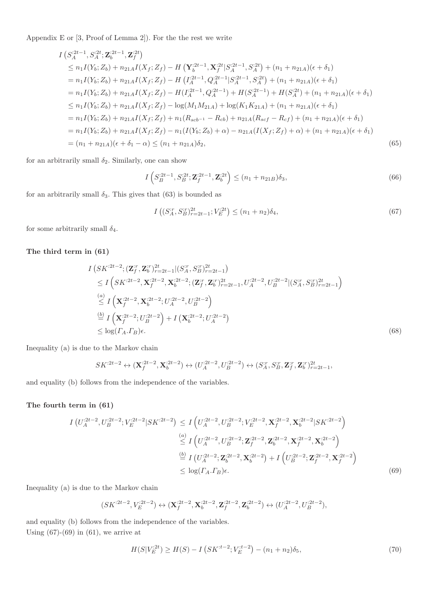Appendix E or [3, Proof of Lemma 2]). For the the rest we write

$$
I\left(S_A^{2t-1}, S_A^{2t}; \mathbf{Z}_b^{2t-1}, \mathbf{Z}_f^{2t}\right)
$$
  
\n
$$
\leq n_1 I(Y_b; Z_b) + n_{21A} I(X_f; Z_f) - H\left(\mathbf{Y}_b^{2t-1}, \mathbf{X}_f^{2t} | S_A^{2t-1}, S_A^{2t}\right) + (n_1 + n_{21A})(\epsilon + \delta_1)
$$
  
\n
$$
= n_1 I(Y_b; Z_b) + n_{21A} I(X_f; Z_f) - H\left(I_A^{2t-1}, Q_A^{2t-1} | S_A^{2t-1}, S_A^{2t}\right) + (n_1 + n_{21A})(\epsilon + \delta_1)
$$
  
\n
$$
= n_1 I(Y_b; Z_b) + n_{21A} I(X_f; Z_f) - H(I_A^{2t-1}, Q_A^{2t-1}) + H(S_A^{2t-1}) + H(S_A^{2t}) + (n_1 + n_{21A})(\epsilon + \delta_1)
$$
  
\n
$$
\leq n_1 I(Y_b; Z_b) + n_{21A} I(X_f; Z_f) - \log(M_1 M_{21A}) + \log(K_1 K_{21A}) + (n_1 + n_{21A})(\epsilon + \delta_1)
$$
  
\n
$$
= n_1 I(Y_b; Z_b) + n_{21A} I(X_f; Z_f) + n_1 (R_{scb^{-1}} - R_{cb}) + n_{21A} (R_{scf} - R_{cf}) + (n_1 + n_{21A})(\epsilon + \delta_1)
$$
  
\n
$$
= n_1 I(Y_b; Z_b) + n_{21A} I(X_f; Z_f) - n_1 (I(Y_b; Z_b) + \alpha) - n_{21A} (I(X_f; Z_f) + \alpha) + (n_1 + n_{21A})(\epsilon + \delta_1)
$$
  
\n
$$
= (n_1 + n_{21A})(\epsilon + \delta_1 - \alpha) \leq (n_1 + n_{21A})\delta_2,
$$
 (65)

for an arbitrarily small  $\delta_2$ . Similarly, one can show

$$
I\left(S_B^{:2t-1}, S_B^{:2t}; \mathbf{Z}_f^{:2t-1}, \mathbf{Z}_b^{:2t}\right) \le (n_1 + n_{21B})\delta_3,\tag{66}
$$

for an arbitrarily small  $\delta_3$ . This gives that (63) is bounded as

$$
I\left((S_A^{\cdot r}, S_B^{\cdot r})_{r=2t-1}^{2t}; V_E^{\cdot 2t}\right) \le (n_1 + n_2)\delta_4,\tag{67}
$$

for some arbitrarily small  $\delta_4$ .

## The third term in (61)

$$
I(SK^{2t-2}; (\mathbf{Z}_f^{r}, \mathbf{Z}_b^{r})_{r=2t-1}^{2t} | (S_A^{r}, S_B^{r})_{r=2t-1}^{2t})
$$
  
\n
$$
\leq I\left(SK^{2t-2}, \mathbf{X}_f^{2t-2}, \mathbf{X}_b^{2t-2}; (\mathbf{Z}_f^{r}, \mathbf{Z}_b^{r})_{r=2t-1}^{2t}, U_A^{2t-2}, U_B^{2t-2} | (S_A^{r}, S_B^{r})_{r=2t-1}^{2t})
$$
  
\n
$$
\leq I\left(\mathbf{X}_f^{2t-2}, \mathbf{X}_b^{2t-2}; U_A^{2t-2}, U_B^{2t-2}\right)
$$
  
\n
$$
\stackrel{(a)}{=} I\left(\mathbf{X}_f^{2t-2}; U_B^{2t-2}\right) + I\left(\mathbf{X}_b^{2t-2}; U_A^{2t-2}\right)
$$
  
\n
$$
\leq \log(I_A . T_B) \epsilon.
$$
  
\n(68)

Inequality (a) is due to the Markov chain

$$
SK^{:2t-2}\leftrightarrow \mathbf{(X)}^{:2t-2}_f,\mathbf{X}^{:2t-2}_b)\leftrightarrow (U_A^{:2t-2},U_B^{:2t-2})\leftrightarrow (S_A^{\text{.}r},S_B^{\text{.}r},\mathbf{Z}_f^{\text{.}r},\mathbf{Z}_b^{\text{.}r})_{r=2t-1}^{\text{2t}},
$$

and equality (b) follows from the independence of the variables.

## The fourth term in (61)

$$
I\left(U_A^{:2t-2}, U_B^{:2t-2}; V_E^{:2t-2}|SK^{:2t-2}\right) \leq I\left(U_A^{:2t-2}, U_B^{:2t-2}; V_E^{:2t-2}, \mathbf{X}_f^{:2t-2}, \mathbf{X}_b^{:2t-2}|SK^{:2t-2}\right)
$$
  
\n
$$
\stackrel{(a)}{\leq} I\left(U_A^{:2t-2}, U_B^{:2t-2}; \mathbf{Z}_f^{:2t-2}, \mathbf{Z}_b^{:2t-2}, \mathbf{X}_f^{:2t-2}, \mathbf{X}_b^{:2t-2}\right)
$$
  
\n
$$
\stackrel{\text{(b)}}{=} I\left(U_A^{:2t-2}; \mathbf{Z}_b^{:2t-2}, \mathbf{X}_b^{:2t-2}\right) + I\left(U_B^{:2t-2}; \mathbf{Z}_f^{:2t-2}, \mathbf{X}_f^{:2t-2}\right)
$$
  
\n
$$
\leq \log(I_A, \Gamma_B)\epsilon.
$$
  
\n(69)

Inequality (a) is due to the Markov chain

$$
(SK^{:2t-2},V_E^{:2t-2}) \leftrightarrow (\mathbf{X}^{:2t-2}_f,\mathbf{X}^{:2t-2}_b,\mathbf{Z}^{:2t-2}_f,\mathbf{Z}^{:2t-2}_b) \leftrightarrow (U_A^{:2t-2},U_B^{:2t-2}),
$$

and equality (b) follows from the independence of the variables. Using  $(67)-(69)$  in  $(61)$ , we arrive at

$$
H(S|V_E^{;2t}) \ge H(S) - I\left(SK^{;t-2}; V_E^{;t-2}\right) - (n_1 + n_2)\delta_5,\tag{70}
$$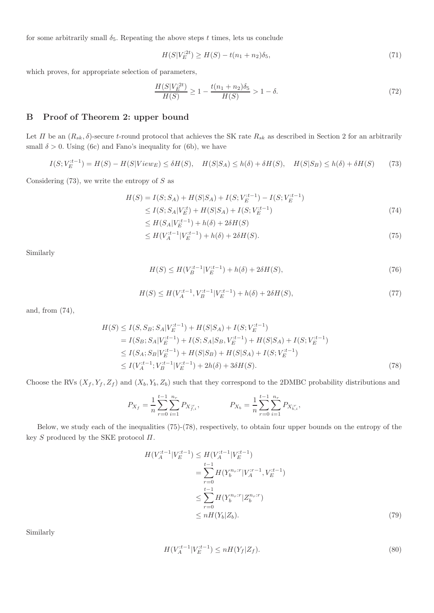for some arbitrarily small  $\delta_5$ . Repeating the above steps t times, lets us conclude

$$
H(S|V_E^{2t}) \ge H(S) - t(n_1 + n_2)\delta_5,\tag{71}
$$

which proves, for appropriate selection of parameters,

$$
\frac{H(S|V_E^{2t})}{H(S)} \ge 1 - \frac{t(n_1 + n_2)\delta_5}{H(S)} > 1 - \delta.
$$
\n(72)

# B Proof of Theorem 2: upper bound

Let  $\Pi$  be an  $(R_{sk}, \delta)$ -secure t-round protocol that achieves the SK rate  $R_{sk}$  as described in Section 2 for an arbitrarily small  $\delta > 0$ . Using (6c) and Fano's inequality for (6b), we have

$$
I(S; V_E^{t-1}) = H(S) - H(S|View_E) \le \delta H(S), \quad H(S|S_A) \le h(\delta) + \delta H(S), \quad H(S|S_B) \le h(\delta) + \delta H(S) \tag{73}
$$

Considering  $(73)$ , we write the entropy of S as

$$
H(S) = I(S; S_A) + H(S|S_A) + I(S; V_E^{t-1}) - I(S; V_E^{t-1})
$$
  
\n
$$
\leq I(S; S_A | V_E^t) + H(S|S_A) + I(S; V_E^{t-1})
$$
\n(74)

$$
\leq H(S_A|V_E^{:t-1}) + h(\delta) + 2\delta H(S)
$$

$$
\leq H(V_A^{:t-1}|V_E^{:t-1}) + h(\delta) + 2\delta H(S). \tag{75}
$$

Similarly

$$
H(S) \le H(V_B^{t-1}|V_E^{t-1}) + h(\delta) + 2\delta H(S),\tag{76}
$$

$$
H(S) \le H(V_A^{:t-1}, V_B^{:t-1}|V_E^{:t-1}) + h(\delta) + 2\delta H(S),\tag{77}
$$

and, from (74),

$$
H(S) \leq I(S, S_B; S_A | V_E^{t-1}) + H(S|S_A) + I(S; V_E^{t-1})
$$
  
=  $I(S_B; S_A | V_E^{t-1}) + I(S; S_A | S_B, V_E^{t-1}) + H(S|S_A) + I(S; V_E^{t-1})$   
 $\leq I(S_A; S_B | V_E^{t-1}) + H(S|S_B) + H(S|S_A) + I(S; V_E^{t-1})$   
 $\leq I(V_A^{t-1}; V_B^{t-1} | V_E^{t-1}) + 2h(\delta) + 3\delta H(S).$  (78)

Choose the RVs  $(X_f, Y_f, Z_f)$  and  $(X_b, Y_b, Z_b)$  such that they correspond to the 2DMBC probability distributions and

$$
P_{X_f} = \frac{1}{n} \sum_{r=0}^{t-1} \sum_{i=1}^{n_r} P_{X_{f,i}^{r}}, \qquad P_{X_b} = \frac{1}{n} \sum_{r=0}^{t-1} \sum_{i=1}^{n_r} P_{X_{b,i}^{r}},
$$

Below, we study each of the inequalities (75)-(78), respectively, to obtain four upper bounds on the entropy of the key  $S$  produced by the SKE protocol  $\Pi$ .

$$
H(V_A^{it-1}|V_E^{it-1}) \le H(V_A^{it-1}|V_E^{it-1})
$$
  
= 
$$
\sum_{r=0}^{t-1} H(Y_b^{n_r:r}|V_A^{ir-1}, V_E^{it-1})
$$
  

$$
\le \sum_{r=0}^{t-1} H(Y_b^{n_r:r}|Z_b^{n_r:r})
$$
  

$$
\le nH(Y_b|Z_b).
$$
 (79)

Similarly

$$
H(V_A^{:t-1}|V_E^{:t-1}) \le nH(Y_f|Z_f). \tag{80}
$$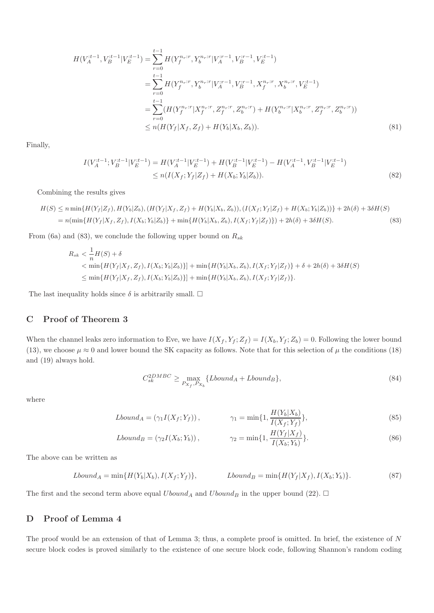$$
H(V_A^{it-1}, V_B^{it-1} | V_E^{:t-1}) = \sum_{r=0}^{t-1} H(Y_f^{n_r:r}, Y_b^{n_r:r} | V_A^{ir-1}, V_B^{ir-1}, V_E^{it-1})
$$
  
\n
$$
= \sum_{r=0}^{t-1} H(Y_f^{n_r:r}, Y_b^{n_r:r} | V_A^{ir-1}, V_B^{ir-1}, X_f^{n_r:r}, X_b^{n_r:r}, V_E^{it-1})
$$
  
\n
$$
= \sum_{r=0}^{t-1} (H(Y_f^{n_r:r} | X_f^{n_r:r}, Z_f^{n_r:r}, Z_b^{n_r:r}) + H(Y_b^{n_r:r} | X_b^{n_r:r}, Z_f^{n_r:r}, Z_b^{n_r:r})
$$
  
\n
$$
\le n(H(Y_f | X_f, Z_f) + H(Y_b | X_b, Z_b)).
$$
\n(81)

Finally,

$$
I(V_A^{:t-1}; V_B^{:t-1}|V_E^{:t-1}) = H(V_A^{:t-1}|V_E^{:t-1}) + H(V_B^{:t-1}|V_E^{:t-1}) - H(V_A^{:t-1}, V_B^{:t-1}|V_E^{:t-1})
$$
  
\n
$$
\leq n(I(X_f; Y_f | Z_f) + H(X_b; Y_b | Z_b)).
$$
\n(82)

Combining the results gives

$$
H(S) \le n \min\{H(Y_f|Z_f), H(Y_b|Z_b), (H(Y_f|X_f, Z_f) + H(Y_b|X_b, Z_b)), (I(X_f; Y_f|Z_f) + H(X_b; Y_b|Z_b))\} + 2h(\delta) + 3\delta H(S)
$$
  
=  $n(\min\{H(Y_f|X_f, Z_f), I(X_b; Y_b|Z_b)\} + \min\{H(Y_b|X_b, Z_b), I(X_f; Y_f|Z_f)\} + 2h(\delta) + 3\delta H(S).$  (83)

From (6a) and (83), we conclude the following upper bound on  $R_{sk}$ 

$$
R_{sk} < \frac{1}{n}H(S) + \delta
$$
\n
$$
< \min\{H(Y_f|X_f, Z_f), I(X_b; Y_b|Z_b)\}\ + \min\{H(Y_b|X_b, Z_b), I(X_f; Y_f|Z_f)\} + \delta + 2h(\delta) + 3\delta H(S)
$$
\n
$$
\leq \min\{H(Y_f|X_f, Z_f), I(X_b; Y_b|Z_b)\}\ + \min\{H(Y_b|X_b, Z_b), I(X_f; Y_f|Z_f)\}.
$$

The last inequality holds since  $\delta$  is arbitrarily small.  $\Box$ 

# C Proof of Theorem 3

When the channel leaks zero information to Eve, we have  $I(X_f, Y_f; Z_f) = I(X_b, Y_f; Z_b) = 0$ . Following the lower bound (13), we choose  $\mu \approx 0$  and lower bound the SK capacity as follows. Note that for this selection of  $\mu$  the conditions (18) and (19) always hold.

$$
C_{sk}^{2DMBC} \ge \max_{P_{X_f}, P_{X_b}} \{Lbound_A + Lbound_B\},\tag{84}
$$

where

$$
Lbound_A = (\gamma_1 I(X_f; Y_f)), \qquad \gamma_1 = \min\{1, \frac{H(Y_b|X_b)}{I(X_f; Y_f)}\},\tag{85}
$$

$$
Lbound_B = (\gamma_2 I(X_b; Y_b)), \qquad \gamma_2 = \min\{1, \frac{H(Y_f|X_f)}{I(X_b; Y_b)}\}.
$$
\n(86)

The above can be written as

$$
Lbound_A = \min\{H(Y_b|X_b), I(X_f;Y_f)\}, \qquad Lbound_B = \min\{H(Y_f|X_f), I(X_b;Y_b)\}.\tag{87}
$$

The first and the second term above equal  $Ubound_A$  and  $Ubound_B$  in the upper bound (22).  $\Box$ 

# D Proof of Lemma 4

The proof would be an extension of that of Lemma 3; thus, a complete proof is omitted. In brief, the existence of  $N$ secure block codes is proved similarly to the existence of one secure block code, following Shannon's random coding